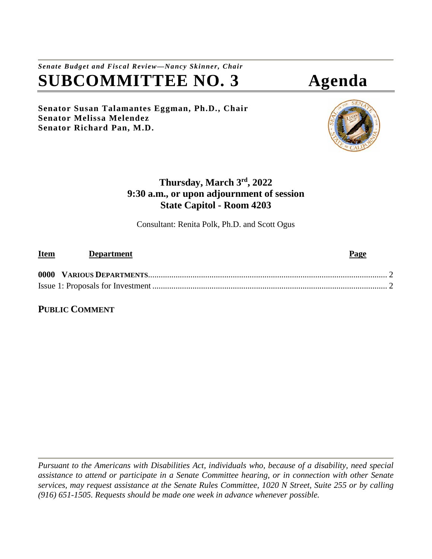# *Senate Budget and Fiscal Review—Nancy Skinner, Chair* **SUBCOMMITTEE NO. 3 Agenda**

**Senator Susan Talamantes Eggman, Ph.D., Chair Senator Melissa Melendez Senator Richard Pan, M.D.**



## **Thursday, March 3rd, 2022 9:30 a.m., or upon adjournment of session State Capitol - Room 4203**

Consultant: Renita Polk, Ph.D. and Scott Ogus

| <b>Item</b> | <b>Department</b> | Page |
|-------------|-------------------|------|
|             |                   |      |
|             |                   |      |

**PUBLIC COMMENT**

*Pursuant to the Americans with Disabilities Act, individuals who, because of a disability, need special assistance to attend or participate in a Senate Committee hearing, or in connection with other Senate services, may request assistance at the Senate Rules Committee, 1020 N Street, Suite 255 or by calling (916) 651-1505. Requests should be made one week in advance whenever possible.*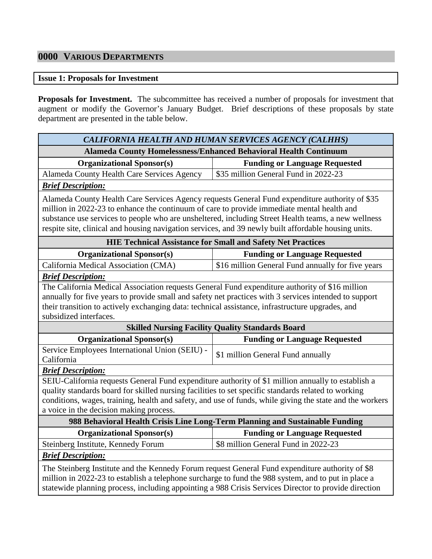## <span id="page-1-0"></span>**0000 VARIOUS DEPARTMENTS**

#### <span id="page-1-1"></span>**Issue 1: Proposals for Investment**

**Proposals for Investment.** The subcommittee has received a number of proposals for investment that augment or modify the Governor's January Budget. Brief descriptions of these proposals by state department are presented in the table below.

| CALIFORNIA HEALTH AND HUMAN SERVICES AGENCY (CALHHS)                                                                                                                                                                                                                                                                                                                                                        |                                                                                                          |  |
|-------------------------------------------------------------------------------------------------------------------------------------------------------------------------------------------------------------------------------------------------------------------------------------------------------------------------------------------------------------------------------------------------------------|----------------------------------------------------------------------------------------------------------|--|
| <b>Alameda County Homelessness/Enhanced Behavioral Health Continuum</b>                                                                                                                                                                                                                                                                                                                                     |                                                                                                          |  |
| <b>Organizational Sponsor(s)</b>                                                                                                                                                                                                                                                                                                                                                                            | <b>Funding or Language Requested</b>                                                                     |  |
| Alameda County Health Care Services Agency                                                                                                                                                                                                                                                                                                                                                                  | \$35 million General Fund in 2022-23                                                                     |  |
| <b>Brief Description:</b>                                                                                                                                                                                                                                                                                                                                                                                   |                                                                                                          |  |
| Alameda County Health Care Services Agency requests General Fund expenditure authority of \$35<br>million in 2022-23 to enhance the continuum of care to provide immediate mental health and<br>substance use services to people who are unsheltered, including Street Health teams, a new wellness<br>respite site, clinical and housing navigation services, and 39 newly built affordable housing units. |                                                                                                          |  |
|                                                                                                                                                                                                                                                                                                                                                                                                             | <b>HIE Technical Assistance for Small and Safety Net Practices</b>                                       |  |
| <b>Organizational Sponsor(s)</b>                                                                                                                                                                                                                                                                                                                                                                            | <b>Funding or Language Requested</b>                                                                     |  |
| California Medical Association (CMA)                                                                                                                                                                                                                                                                                                                                                                        | \$16 million General Fund annually for five years                                                        |  |
| <b>Brief Description:</b>                                                                                                                                                                                                                                                                                                                                                                                   |                                                                                                          |  |
| The California Medical Association requests General Fund expenditure authority of \$16 million                                                                                                                                                                                                                                                                                                              |                                                                                                          |  |
| annually for five years to provide small and safety net practices with 3 services intended to support                                                                                                                                                                                                                                                                                                       |                                                                                                          |  |
| their transition to actively exchanging data: technical assistance, infrastructure upgrades, and                                                                                                                                                                                                                                                                                                            |                                                                                                          |  |
| subsidized interfaces.                                                                                                                                                                                                                                                                                                                                                                                      |                                                                                                          |  |
|                                                                                                                                                                                                                                                                                                                                                                                                             | <b>Skilled Nursing Facility Quality Standards Board</b>                                                  |  |
| <b>Organizational Sponsor(s)</b>                                                                                                                                                                                                                                                                                                                                                                            | <b>Funding or Language Requested</b>                                                                     |  |
| Service Employees International Union (SEIU) -<br>California                                                                                                                                                                                                                                                                                                                                                | \$1 million General Fund annually                                                                        |  |
| <b>Brief Description:</b>                                                                                                                                                                                                                                                                                                                                                                                   |                                                                                                          |  |
| SEIU-California requests General Fund expenditure authority of \$1 million annually to establish a                                                                                                                                                                                                                                                                                                          |                                                                                                          |  |
| quality standards board for skilled nursing facilities to set specific standards related to working                                                                                                                                                                                                                                                                                                         |                                                                                                          |  |
|                                                                                                                                                                                                                                                                                                                                                                                                             | conditions, wages, training, health and safety, and use of funds, while giving the state and the workers |  |
| a voice in the decision making process.                                                                                                                                                                                                                                                                                                                                                                     |                                                                                                          |  |
| 988 Behavioral Health Crisis Line Long-Term Planning and Sustainable Funding                                                                                                                                                                                                                                                                                                                                |                                                                                                          |  |
| <b>Organizational Sponsor(s)</b>                                                                                                                                                                                                                                                                                                                                                                            | <b>Funding or Language Requested</b>                                                                     |  |
| Steinberg Institute, Kennedy Forum                                                                                                                                                                                                                                                                                                                                                                          | \$8 million General Fund in 2022-23                                                                      |  |
| <b>Brief Description:</b>                                                                                                                                                                                                                                                                                                                                                                                   |                                                                                                          |  |
| The Steinberg Institute and the Kennedy Forum request General Fund expenditure authority of \$8<br>million in 2022-23 to establish a telephone surcharge to fund the 988 system, and to put in place a<br>statewide planning process, including appointing a 988 Crisis Services Director to provide direction                                                                                              |                                                                                                          |  |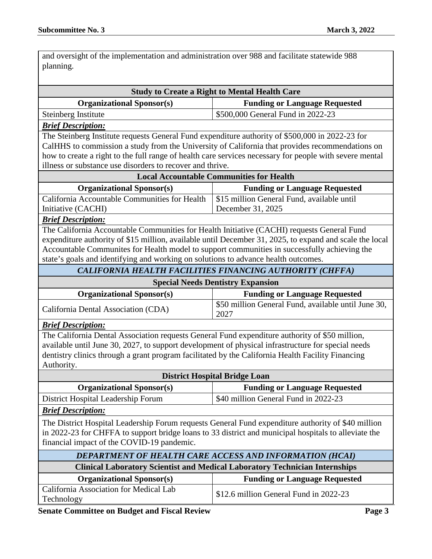and oversight of the implementation and administration over 988 and facilitate statewide 988 planning.

|                                                                                                                                                                                                            | <b>Study to Create a Right to Mental Health Care</b>        |  |  |  |
|------------------------------------------------------------------------------------------------------------------------------------------------------------------------------------------------------------|-------------------------------------------------------------|--|--|--|
| <b>Organizational Sponsor(s)</b>                                                                                                                                                                           | <b>Funding or Language Requested</b>                        |  |  |  |
| Steinberg Institute                                                                                                                                                                                        | \$500,000 General Fund in 2022-23                           |  |  |  |
| <b>Brief Description:</b>                                                                                                                                                                                  |                                                             |  |  |  |
| The Steinberg Institute requests General Fund expenditure authority of \$500,000 in 2022-23 for                                                                                                            |                                                             |  |  |  |
| CalHHS to commission a study from the University of California that provides recommendations on                                                                                                            |                                                             |  |  |  |
| how to create a right to the full range of health care services necessary for people with severe mental                                                                                                    |                                                             |  |  |  |
| illness or substance use disorders to recover and thrive.                                                                                                                                                  |                                                             |  |  |  |
| <b>Local Accountable Communities for Health</b>                                                                                                                                                            |                                                             |  |  |  |
| <b>Organizational Sponsor(s)</b>                                                                                                                                                                           | <b>Funding or Language Requested</b>                        |  |  |  |
| California Accountable Communities for Health                                                                                                                                                              | \$15 million General Fund, available until                  |  |  |  |
| Initiative (CACHI)                                                                                                                                                                                         | December 31, 2025                                           |  |  |  |
| <b>Brief Description:</b>                                                                                                                                                                                  |                                                             |  |  |  |
| The California Accountable Communities for Health Initiative (CACHI) requests General Fund                                                                                                                 |                                                             |  |  |  |
| expenditure authority of \$15 million, available until December 31, 2025, to expand and scale the local                                                                                                    |                                                             |  |  |  |
| Accountable Communites for Health model to support communities in successfully achieving the                                                                                                               |                                                             |  |  |  |
| state's goals and identifying and working on solutions to advance health outcomes.                                                                                                                         |                                                             |  |  |  |
| CALIFORNIA HEALTH FACILITIES FINANCING AUTHORITY (CHFFA)                                                                                                                                                   |                                                             |  |  |  |
| <b>Special Needs Dentistry Expansion</b>                                                                                                                                                                   |                                                             |  |  |  |
| <b>Organizational Sponsor(s)</b>                                                                                                                                                                           | <b>Funding or Language Requested</b>                        |  |  |  |
| California Dental Association (CDA)                                                                                                                                                                        | \$50 million General Fund, available until June 30,<br>2027 |  |  |  |
| <b>Brief Description:</b>                                                                                                                                                                                  |                                                             |  |  |  |
| The California Dental Association requests General Fund expenditure authority of \$50 million,                                                                                                             |                                                             |  |  |  |
| available until June 30, 2027, to support development of physical infrastructure for special needs                                                                                                         |                                                             |  |  |  |
| dentistry clinics through a grant program facilitated by the California Health Facility Financing                                                                                                          |                                                             |  |  |  |
| Authority.                                                                                                                                                                                                 |                                                             |  |  |  |
| <b>District Hospital Bridge Loan</b>                                                                                                                                                                       |                                                             |  |  |  |
| <b>Organizational Sponsor(s)</b>                                                                                                                                                                           | <b>Funding or Language Requested</b>                        |  |  |  |
| District Hospital Leadership Forum                                                                                                                                                                         | \$40 million General Fund in 2022-23                        |  |  |  |
|                                                                                                                                                                                                            |                                                             |  |  |  |
| <b>Brief Description:</b>                                                                                                                                                                                  |                                                             |  |  |  |
|                                                                                                                                                                                                            |                                                             |  |  |  |
| The District Hospital Leadership Forum requests General Fund expenditure authority of \$40 million<br>in 2022-23 for CHFFA to support bridge loans to 33 district and municipal hospitals to alleviate the |                                                             |  |  |  |
| financial impact of the COVID-19 pandemic.                                                                                                                                                                 |                                                             |  |  |  |
|                                                                                                                                                                                                            |                                                             |  |  |  |
| DEPARTMENT OF HEALTH CARE ACCESS AND INFORMATION (HCAI)                                                                                                                                                    |                                                             |  |  |  |
| <b>Clinical Laboratory Scientist and Medical Laboratory Technician Internships</b>                                                                                                                         |                                                             |  |  |  |
| <b>Organizational Sponsor(s)</b>                                                                                                                                                                           | <b>Funding or Language Requested</b>                        |  |  |  |
| California Association for Medical Lab<br>Technology                                                                                                                                                       | \$12.6 million General Fund in 2022-23                      |  |  |  |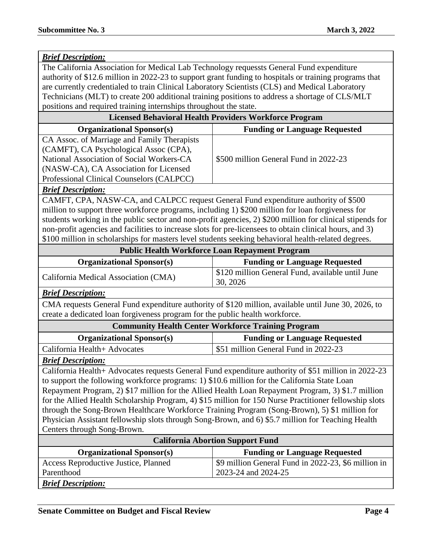| <b>Brief Description:</b>                                                                               |                                                                                                           |  |
|---------------------------------------------------------------------------------------------------------|-----------------------------------------------------------------------------------------------------------|--|
| The California Association for Medical Lab Technology requessts General Fund expenditure                |                                                                                                           |  |
| authority of \$12.6 million in 2022-23 to support grant funding to hospitals or training programs that  |                                                                                                           |  |
| are currently credentialed to train Clinical Laboratory Scientists (CLS) and Medical Laboratory         |                                                                                                           |  |
| Technicians (MLT) to create 200 additional training positions to address a shortage of CLS/MLT          |                                                                                                           |  |
| positions and required training internships throughout the state.                                       |                                                                                                           |  |
|                                                                                                         | <b>Licensed Behavioral Health Providers Workforce Program</b>                                             |  |
| <b>Organizational Sponsor(s)</b>                                                                        | <b>Funding or Language Requested</b>                                                                      |  |
| CA Assoc. of Marriage and Family Therapists                                                             |                                                                                                           |  |
| (CAMFT), CA Psychological Assoc (CPA),                                                                  |                                                                                                           |  |
| National Association of Social Workers-CA                                                               | \$500 million General Fund in 2022-23                                                                     |  |
| (NASW-CA), CA Association for Licensed                                                                  |                                                                                                           |  |
| Professional Clinical Counselors (CALPCC)                                                               |                                                                                                           |  |
| <b>Brief Description:</b>                                                                               |                                                                                                           |  |
| CAMFT, CPA, NASW-CA, and CALPCC request General Fund expenditure authority of \$500                     |                                                                                                           |  |
| million to support three workforce programs, including 1) \$200 million for loan forgiveness for        |                                                                                                           |  |
|                                                                                                         | students working in the public sector and non-profit agencies, 2) \$200 million for clinical stipends for |  |
| non-profit agencies and facilities to increase slots for pre-licensees to obtain clinical hours, and 3) |                                                                                                           |  |
| \$100 million in scholarships for masters level students seeking behavioral health-related degrees.     |                                                                                                           |  |
| <b>Public Health Workforce Loan Repayment Program</b>                                                   |                                                                                                           |  |
| <b>Organizational Sponsor(s)</b>                                                                        | <b>Funding or Language Requested</b>                                                                      |  |
| California Medical Association (CMA)                                                                    | \$120 million General Fund, available until June<br>30, 2026                                              |  |
| <b>Brief Description:</b>                                                                               |                                                                                                           |  |
|                                                                                                         | CMA requests General Fund expenditure authority of \$120 million, available until June 30, 2026, to       |  |
| create a dedicated loan forgiveness program for the public health workforce.                            |                                                                                                           |  |
|                                                                                                         | <b>Community Health Center Workforce Training Program</b>                                                 |  |
| <b>Organizational Sponsor(s)</b>                                                                        | <b>Funding or Language Requested</b>                                                                      |  |
| California Health+ Advocates                                                                            | \$51 million General Fund in 2022-23                                                                      |  |
| <b>Brief Description:</b>                                                                               |                                                                                                           |  |
|                                                                                                         |                                                                                                           |  |
| California Health+ Advocates requests General Fund expenditure authority of \$51 million in 2022-23     |                                                                                                           |  |
| to support the following workforce programs: 1) \$10.6 million for the California State Loan            |                                                                                                           |  |
| Repayment Program, 2) \$17 million for the Allied Health Loan Repayment Program, 3) \$1.7 million       |                                                                                                           |  |
| for the Allied Health Scholarship Program, 4) \$15 million for 150 Nurse Practitioner fellowship slots  |                                                                                                           |  |
| through the Song-Brown Healthcare Workforce Training Program (Song-Brown), 5) \$1 million for           |                                                                                                           |  |
| Physician Assistant fellowship slots through Song-Brown, and 6) \$5.7 million for Teaching Health       |                                                                                                           |  |
| Centers through Song-Brown.                                                                             |                                                                                                           |  |
|                                                                                                         | <b>California Abortion Support Fund</b>                                                                   |  |
| <b>Organizational Sponsor(s)</b>                                                                        | <b>Funding or Language Requested</b>                                                                      |  |
| Access Reproductive Justice, Planned                                                                    | \$9 million General Fund in 2022-23, \$6 million in                                                       |  |
| Parenthood                                                                                              | 2023-24 and 2024-25                                                                                       |  |
| <b>Brief Description:</b>                                                                               |                                                                                                           |  |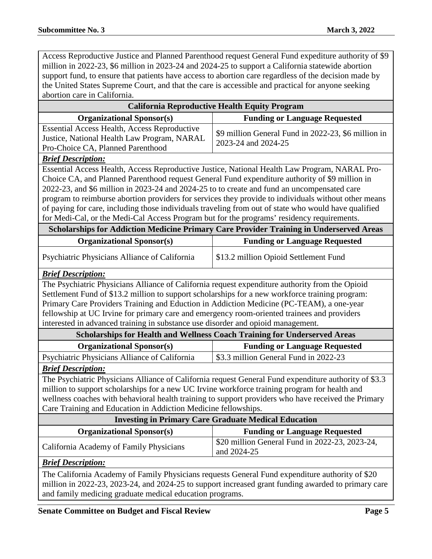Access Reproductive Justice and Planned Parenthood request General Fund expediture authority of \$9 million in 2022-23, \$6 million in 2023-24 and 2024-25 to support a California statewide abortion support fund, to ensure that patients have access to abortion care regardless of the decision made by the United States Supreme Court, and that the care is accessible and practical for anyone seeking abortion care in California.

| <b>California Reproductive Health Equity Program</b>                                                  |                                                                                                      |  |
|-------------------------------------------------------------------------------------------------------|------------------------------------------------------------------------------------------------------|--|
| <b>Funding or Language Requested</b><br><b>Organizational Sponsor(s)</b>                              |                                                                                                      |  |
| <b>Essential Access Health, Access Reproductive</b>                                                   | \$9 million General Fund in 2022-23, \$6 million in                                                  |  |
| Justice, National Health Law Program, NARAL                                                           | 2023-24 and 2024-25                                                                                  |  |
| Pro-Choice CA, Planned Parenthood                                                                     |                                                                                                      |  |
| <b>Brief Description:</b>                                                                             |                                                                                                      |  |
| Essential Access Health, Access Reproductive Justice, National Health Law Program, NARAL Pro-         |                                                                                                      |  |
| Choice CA, and Planned Parenthood request General Fund expenditure authority of \$9 million in        |                                                                                                      |  |
| 2022-23, and \$6 million in 2023-24 and 2024-25 to to create and fund an uncompensated care           |                                                                                                      |  |
|                                                                                                       | program to reimburse abortion providers for services they provide to individuals without other means |  |
| of paying for care, including those individuals traveling from out of state who would have qualified  |                                                                                                      |  |
| for Medi-Cal, or the Medi-Cal Access Program but for the programs' residency requirements.            |                                                                                                      |  |
| Scholarships for Addiction Medicine Primary Care Provider Training in Underserved Areas               |                                                                                                      |  |
| <b>Organizational Sponsor(s)</b>                                                                      | <b>Funding or Language Requested</b>                                                                 |  |
| Psychiatric Physicians Alliance of California                                                         | \$13.2 million Opioid Settlement Fund                                                                |  |
| <b>Brief Description:</b>                                                                             |                                                                                                      |  |
| The Psychiatric Physicians Alliance of California request expenditure authority from the Opioid       |                                                                                                      |  |
| Settlement Fund of \$13.2 million to support scholarships for a new workforce training program:       |                                                                                                      |  |
| Primary Care Providers Training and Eduction in Addiction Medicine (PC-TEAM), a one-year              |                                                                                                      |  |
| fellowship at UC Irvine for primary care and emergency room-oriented trainees and providers           |                                                                                                      |  |
| interested in advanced training in substance use disorder and opioid management.                      |                                                                                                      |  |
|                                                                                                       | Scholarships for Health and Wellness Coach Training for Underserved Areas                            |  |
| <b>Organizational Sponsor(s)</b><br><b>Funding or Language Requested</b>                              |                                                                                                      |  |
| Psychiatric Physicians Alliance of California                                                         | \$3.3 million General Fund in 2022-23                                                                |  |
| <b>Brief Description:</b>                                                                             |                                                                                                      |  |
| The Psychiatric Physicians Alliance of California request General Fund expenditure authority of \$3.3 |                                                                                                      |  |
| million to support scholarships for a new UC Irvine workforce training program for health and         |                                                                                                      |  |
| wellness coaches with behavioral health training to support providers who have received the Primary   |                                                                                                      |  |
| Care Training and Education in Addiction Medicine fellowships.                                        |                                                                                                      |  |
| <b>Investing in Primary Care Graduate Medical Education</b>                                           |                                                                                                      |  |
| <b>Organizational Sponsor(s)</b>                                                                      | <b>Funding or Language Requested</b>                                                                 |  |
| California Academy of Family Physicians                                                               | \$20 million General Fund in 2022-23, 2023-24,<br>and 2024-25                                        |  |
| <b>Brief Description:</b>                                                                             |                                                                                                      |  |
| The California Academy of Family Physicians requests General Fund expenditure authority of \$20       |                                                                                                      |  |
| million in 2022-23, 2023-24, and 2024-25 to support increased grant funding awarded to primary care   |                                                                                                      |  |

and family medicing graduate medical education programs.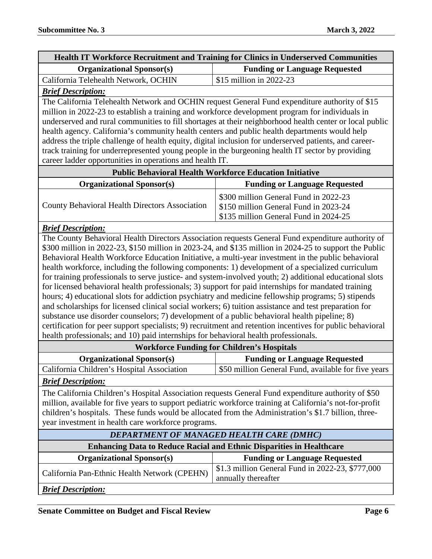| <b>Health IT Workforce Recruitment and Training for Clinics in Underserved Communities</b> |  |
|--------------------------------------------------------------------------------------------|--|
| <b>Funding or Language Requested</b>                                                       |  |
| \$15 million in $2022-23$                                                                  |  |
|                                                                                            |  |

#### *Brief Description:*

The California Telehealth Network and OCHIN request General Fund expenditure authority of \$15 million in 2022-23 to establish a training and workforce development program for individuals in underserved and rural communities to fill shortages at their neighborhood health center or local public health agency. California's community health centers and public health departments would help address the triple challenge of health equity, digital inclusion for underserved patients, and careertrack training for underrepresented young people in the burgeoning health IT sector by providing career ladder opportunities in operations and health IT.

| <b>Public Behavioral Health Workforce Education Initiative</b> |                                                                                                                         |  |
|----------------------------------------------------------------|-------------------------------------------------------------------------------------------------------------------------|--|
| <b>Organizational Sponsor(s)</b>                               | <b>Funding or Language Requested</b>                                                                                    |  |
| <b>County Behavioral Health Directors Association</b>          | \$300 million General Fund in 2022-23<br>\$150 million General Fund in 2023-24<br>\$135 million General Fund in 2024-25 |  |

#### *Brief Description:*

The County Behavioral Health Directors Association requests General Fund expenditure authority of \$300 million in 2022-23, \$150 million in 2023-24, and \$135 million in 2024-25 to support the Public Behavioral Health Workforce Education Initiative, a multi-year investment in the public behavioral health workforce, including the following components: 1) development of a specialized curriculum for training professionals to serve justice- and system-involved youth; 2) additional educational slots for licensed behavioral health professionals; 3) support for paid internships for mandated training hours; 4) educational slots for addiction psychiatry and medicine fellowship programs; 5) stipends and scholarships for licensed clinical social workers; 6) tuition assistance and test preparation for substance use disorder counselors; 7) development of a public behavioral health pipeline; 8) certification for peer support specialists; 9) recruitment and retention incentives for public behavioral health professionals; and 10) paid internships for behavioral health professionals.

#### **Workforce Funding for Children's Hospitals**

| We cannot be a unusing for container b alongstand |                                                     |
|---------------------------------------------------|-----------------------------------------------------|
| <b>Organizational Sponsor(s)</b>                  | <b>Funding or Language Requested</b>                |
| California Children's Hospital Association        | \$50 million General Fund, available for five years |

#### *Brief Description:*

The California Children's Hospital Association requests General Fund expenditure authority of \$50 million, available for five years to support pediatric workforce training at California's not-for-profit children's hospitals. These funds would be allocated from the Administration's \$1.7 billion, threeyear investment in health care workforce programs.

| <b>DEPARTMENT OF MANAGED HEALTH CARE (DMHC)</b>                             |                                                  |  |
|-----------------------------------------------------------------------------|--------------------------------------------------|--|
| <b>Enhancing Data to Reduce Racial and Ethnic Disparities in Healthcare</b> |                                                  |  |
| <b>Organizational Sponsor(s)</b>                                            | <b>Funding or Language Requested</b>             |  |
| California Pan-Ethnic Health Network (CPEHN)                                | \$1.3 million General Fund in 2022-23, \$777,000 |  |
|                                                                             | annually thereafter                              |  |
| <b>Brief Description:</b>                                                   |                                                  |  |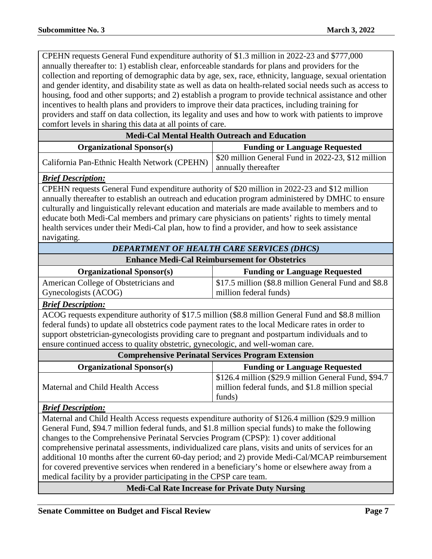CPEHN requests General Fund expenditure authority of \$1.3 million in 2022-23 and \$777,000 annually thereafter to: 1) establish clear, enforceable standards for plans and providers for the collection and reporting of demographic data by age, sex, race, ethnicity, language, sexual orientation and gender identity, and disability state as well as data on health-related social needs such as access to housing, food and other supports; and 2) establish a program to provide technical assistance and other incentives to health plans and providers to improve their data practices, including training for providers and staff on data collection, its legality and uses and how to work with patients to improve comfort levels in sharing this data at all points of care.

| <b>Medi-Cal Mental Health Outreach and Education</b> |                                                    |
|------------------------------------------------------|----------------------------------------------------|
| <b>Organizational Sponsor(s)</b>                     | <b>Funding or Language Requested</b>               |
| California Pan-Ethnic Health Network (CPEHN)         | \$20 million General Fund in 2022-23, \$12 million |
|                                                      | annually thereafter                                |

#### *Brief Description:*

CPEHN requests General Fund expenditure authority of \$20 million in 2022-23 and \$12 million annually thereafter to establish an outreach and education program administered by DMHC to ensure culturally and linguistically relevant education and materials are made available to members and to educate both Medi-Cal members and primary care physicians on patients' rights to timely mental health services under their Medi-Cal plan, how to find a provider, and how to seek assistance navigating.

### *DEPARTMENT OF HEALTH CARE SERVICES (DHCS)*

**Enhance Medi-Cal Reimbursement for Obstetrics**

| <b>Organizational Sponsor(s)</b>      | <b>Funding or Language Requested</b>                 |
|---------------------------------------|------------------------------------------------------|
| American College of Obstetricians and | \$17.5 million (\$8.8 million General Fund and \$8.8 |
| Gynecologists (ACOG)                  | million federal funds)                               |

#### *Brief Description:*

ACOG requests expenditure authority of \$17.5 million (\$8.8 million General Fund and \$8.8 million federal funds) to update all obstetrics code payment rates to the local Medicare rates in order to support obstetrician-gynecologists providing care to pregnant and postpartum individuals and to ensure continued access to quality obstetric, gynecologic, and well-woman care.

| <b>Comprehensive Perinatal Services Program Extension</b> |                                                                                                                    |  |
|-----------------------------------------------------------|--------------------------------------------------------------------------------------------------------------------|--|
| <b>Organizational Sponsor(s)</b>                          | <b>Funding or Language Requested</b>                                                                               |  |
| Maternal and Child Health Access                          | \$126.4 million (\$29.9 million General Fund, \$94.7<br>million federal funds, and \$1.8 million special<br>funds) |  |

#### *Brief Description:*

Maternal and Child Health Access requests expenditure authority of \$126.4 million (\$29.9 million General Fund, \$94.7 million federal funds, and \$1.8 million special funds) to make the following changes to the Comprehensive Perinatal Servcies Program (CPSP): 1) cover additional comprehensive perinatal assessments, individualized care plans, visits and units of services for an additional 10 months after the current 60-day period; and 2) provide Medi-Cal/MCAP reimbursement for covered preventive services when rendered in a beneficiary's home or elsewhere away from a medical facility by a provider participating in the CPSP care team.

**Medi-Cal Rate Increase for Private Duty Nursing**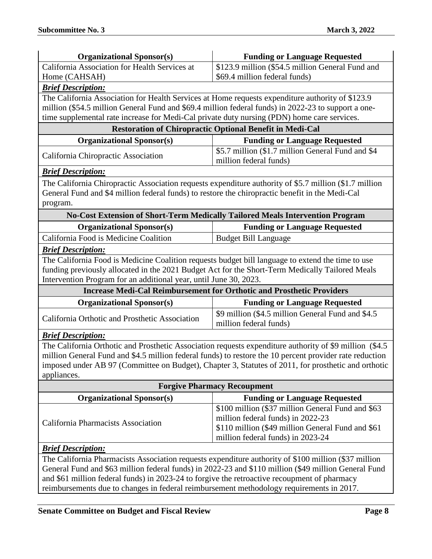| <b>Organizational Sponsor(s)</b>                                                                    | <b>Funding or Language Requested</b>                                                                     |  |
|-----------------------------------------------------------------------------------------------------|----------------------------------------------------------------------------------------------------------|--|
| California Association for Health Services at                                                       | \$123.9 million (\$54.5 million General Fund and                                                         |  |
| Home (CAHSAH)                                                                                       | \$69.4 million federal funds)                                                                            |  |
| <b>Brief Description:</b>                                                                           |                                                                                                          |  |
| The California Association for Health Services at Home requests expenditure authority of \$123.9    |                                                                                                          |  |
| million (\$54.5 million General Fund and \$69.4 million federal funds) in 2022-23 to support a one- |                                                                                                          |  |
| time supplemental rate increase for Medi-Cal private duty nursing (PDN) home care services.         |                                                                                                          |  |
|                                                                                                     | <b>Restoration of Chiropractic Optional Benefit in Medi-Cal</b>                                          |  |
| <b>Organizational Sponsor(s)</b>                                                                    | <b>Funding or Language Requested</b>                                                                     |  |
| California Chiropractic Association                                                                 | \$5.7 million (\$1.7 million General Fund and \$4<br>million federal funds)                              |  |
| <b>Brief Description:</b>                                                                           |                                                                                                          |  |
|                                                                                                     | The California Chiropractic Association requests expenditure authority of \$5.7 million (\$1.7 million   |  |
| General Fund and \$4 million federal funds) to restore the chiropractic benefit in the Medi-Cal     |                                                                                                          |  |
| program.                                                                                            |                                                                                                          |  |
|                                                                                                     | <b>No-Cost Extension of Short-Term Medically Tailored Meals Intervention Program</b>                     |  |
| <b>Organizational Sponsor(s)</b>                                                                    | <b>Funding or Language Requested</b>                                                                     |  |
| California Food is Medicine Coalition                                                               | <b>Budget Bill Language</b>                                                                              |  |
| <b>Brief Description:</b>                                                                           |                                                                                                          |  |
| The California Food is Medicine Coalition requests budget bill language to extend the time to use   |                                                                                                          |  |
|                                                                                                     | funding previously allocated in the 2021 Budget Act for the Short-Term Medically Tailored Meals          |  |
| Intervention Program for an additional year, until June 30, 2023.                                   |                                                                                                          |  |
|                                                                                                     |                                                                                                          |  |
|                                                                                                     | <b>Increase Medi-Cal Reimbursement for Orthotic and Prosthetic Providers</b>                             |  |
| <b>Organizational Sponsor(s)</b>                                                                    | <b>Funding or Language Requested</b>                                                                     |  |
| California Orthotic and Prosthetic Association                                                      | \$9 million (\$4.5 million General Fund and \$4.5<br>million federal funds)                              |  |
| <b>Brief Description:</b>                                                                           |                                                                                                          |  |
|                                                                                                     | The California Orthotic and Prosthetic Association requests expenditure authority of \$9 million (\$4.5) |  |
|                                                                                                     | million General Fund and \$4.5 million federal funds) to restore the 10 percent provider rate reduction  |  |
|                                                                                                     | imposed under AB 97 (Committee on Budget), Chapter 3, Statutes of 2011, for prosthetic and orthotic      |  |
| appliances.                                                                                         |                                                                                                          |  |
|                                                                                                     | <b>Forgive Pharmacy Recoupment</b>                                                                       |  |
| <b>Organizational Sponsor(s)</b>                                                                    | <b>Funding or Language Requested</b>                                                                     |  |
|                                                                                                     | \$100 million (\$37 million General Fund and \$63                                                        |  |
|                                                                                                     | million federal funds) in 2022-23                                                                        |  |
| California Pharmacists Association                                                                  | \$110 million (\$49 million General Fund and \$61                                                        |  |
|                                                                                                     | million federal funds) in 2023-24                                                                        |  |
| <b>Brief Description:</b>                                                                           |                                                                                                          |  |
|                                                                                                     | The California Pharmacists Association requests expenditure authority of \$100 million (\$37 million     |  |
|                                                                                                     | General Fund and \$63 million federal funds) in 2022-23 and \$110 million (\$49 million General Fund     |  |
| and \$61 million federal funds) in 2023-24 to forgive the retroactive recoupment of pharmacy        |                                                                                                          |  |
| reimbursements due to changes in federal reimbursement methodology requirements in 2017.            |                                                                                                          |  |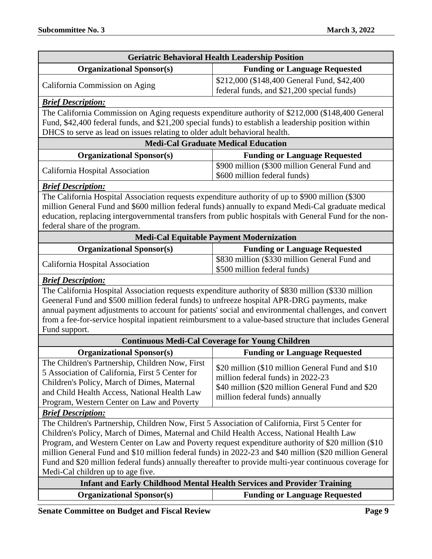| <b>Geriatric Behavioral Health Leadership Position</b>                                                 |                                                                                                         |  |
|--------------------------------------------------------------------------------------------------------|---------------------------------------------------------------------------------------------------------|--|
| <b>Organizational Sponsor(s)</b>                                                                       | <b>Funding or Language Requested</b>                                                                    |  |
| California Commission on Aging                                                                         | \$212,000 (\$148,400 General Fund, \$42,400)                                                            |  |
|                                                                                                        | federal funds, and \$21,200 special funds)                                                              |  |
| <b>Brief Description:</b>                                                                              |                                                                                                         |  |
|                                                                                                        | The California Commission on Aging requests expenditure authority of \$212,000 (\$148,400 General       |  |
| Fund, \$42,400 federal funds, and \$21,200 special funds) to establish a leadership position within    |                                                                                                         |  |
| DHCS to serve as lead on issues relating to older adult behavioral health.                             |                                                                                                         |  |
|                                                                                                        | <b>Medi-Cal Graduate Medical Education</b>                                                              |  |
| <b>Organizational Sponsor(s)</b>                                                                       | <b>Funding or Language Requested</b>                                                                    |  |
| California Hospital Association                                                                        | \$900 million (\$300 million General Fund and<br>\$600 million federal funds)                           |  |
| <b>Brief Description:</b>                                                                              |                                                                                                         |  |
| The California Hospital Association requests expenditure authority of up to \$900 million (\$300       |                                                                                                         |  |
|                                                                                                        | million General Fund and \$600 million federal funds) annually to expand Medi-Cal graduate medical      |  |
|                                                                                                        | education, replacing intergovernmental transfers from public hospitals with General Fund for the non-   |  |
| federal share of the program.                                                                          |                                                                                                         |  |
|                                                                                                        | <b>Medi-Cal Equitable Payment Modernization</b>                                                         |  |
| <b>Organizational Sponsor(s)</b>                                                                       | <b>Funding or Language Requested</b>                                                                    |  |
| California Hospital Association                                                                        | \$830 million (\$330 million General Fund and<br>\$500 million federal funds)                           |  |
| <b>Brief Description:</b>                                                                              |                                                                                                         |  |
| The California Hospital Association requests expenditure authority of \$830 million (\$330 million     |                                                                                                         |  |
| Geeneral Fund and \$500 million federal funds) to unfreeze hospital APR-DRG payments, make             |                                                                                                         |  |
| annual payment adjustments to account for patients' social and environmental challenges, and convert   |                                                                                                         |  |
|                                                                                                        | from a fee-for-service hospital inpatient reimbursment to a value-based structure that includes General |  |
| Fund support.                                                                                          |                                                                                                         |  |
|                                                                                                        | <b>Continuous Medi-Cal Coverage for Young Children</b>                                                  |  |
| <b>Organizational Sponsor(s)</b>                                                                       | <b>Funding or Language Requested</b>                                                                    |  |
| The Children's Partnership, Children Now, First                                                        | \$20 million (\$10 million General Fund and \$10                                                        |  |
| 5 Association of California, First 5 Center for                                                        | million federal funds) in 2022-23                                                                       |  |
| Children's Policy, March of Dimes, Maternal                                                            | \$40 million (\$20 million General Fund and \$20                                                        |  |
| and Child Health Access, National Health Law                                                           | million federal funds) annually                                                                         |  |
| Program, Western Center on Law and Poverty                                                             |                                                                                                         |  |
| <b>Brief Description:</b>                                                                              |                                                                                                         |  |
| The Children's Partnership, Children Now, First 5 Association of California, First 5 Center for        |                                                                                                         |  |
| Children's Policy, March of Dimes, Maternal and Child Health Access, National Health Law               |                                                                                                         |  |
| Program, and Western Center on Law and Poverty request expenditure authority of \$20 million (\$10)    |                                                                                                         |  |
| million General Fund and \$10 million federal funds) in 2022-23 and \$40 million (\$20 million General |                                                                                                         |  |
| Fund and \$20 million federal funds) annually thereafter to provide multi-year continuous coverage for |                                                                                                         |  |
| Medi-Cal children up to age five.                                                                      |                                                                                                         |  |
| <b>Infant and Early Childhood Mental Health Services and Provider Training</b>                         |                                                                                                         |  |
| <b>Organizational Sponsor(s)</b>                                                                       | <b>Funding or Language Requested</b>                                                                    |  |

**Senate Committee on Budget and Fiscal Review <b>Page 9 Page 9**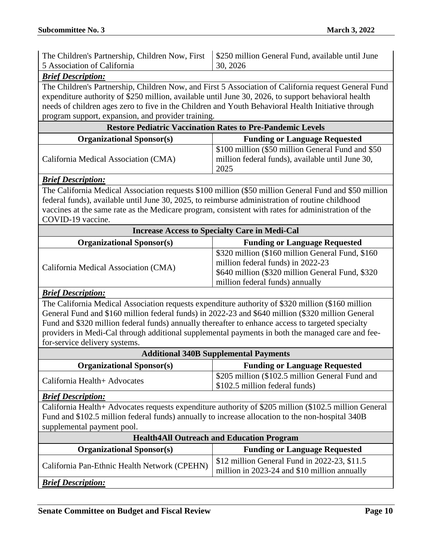| 5 Association of California                                                                        | 130, 2026 |
|----------------------------------------------------------------------------------------------------|-----------|
| The Children's Partnership, Children Now, First   \$250 million General Fund, available until June |           |

#### *Brief Description:*

The Children's Partnership, Children Now, and First 5 Association of California request General Fund expenditure authority of \$250 million, available until June 30, 2026, to support behavioral health needs of children ages zero to five in the Children and Youth Behavioral Health Initiative through program support, expansion, and provider training.

| <b>Restore Pediatric Vaccination Rates to Pre-Pandemic Levels</b> |                                                                                                               |
|-------------------------------------------------------------------|---------------------------------------------------------------------------------------------------------------|
| <b>Organizational Sponsor(s)</b>                                  | <b>Funding or Language Requested</b>                                                                          |
| California Medical Association (CMA)                              | \$100 million (\$50 million General Fund and \$50<br>million federal funds), available until June 30,<br>2025 |

#### *Brief Description:*

The California Medical Association requests \$100 million (\$50 million General Fund and \$50 million federal funds), available until June 30, 2025, to reimburse administration of routine childhood vaccines at the same rate as the Medicare program, consistent with rates for administration of the COVID-19 vaccine.

| <b>Increase Access to Specialty Care in Medi-Cal</b> |                                                                                     |
|------------------------------------------------------|-------------------------------------------------------------------------------------|
| <b>Organizational Sponsor(s)</b>                     | <b>Funding or Language Requested</b>                                                |
| California Medical Association (CMA)                 | \$320 million (\$160 million General Fund, \$160                                    |
|                                                      | million federal funds) in 2022-23                                                   |
|                                                      | \$640 million (\$320 million General Fund, \$320<br>million federal funds) annually |

#### *Brief Description:*

The California Medical Association requests expenditure authority of \$320 million (\$160 million General Fund and \$160 million federal funds) in 2022-23 and \$640 million (\$320 million General Fund and \$320 million federal funds) annually thereafter to enhance access to targeted specialty providers in Medi-Cal through additional supplemental payments in both the managed care and feefor-service delivery systems.

| <b>Additional 340B Supplemental Payments</b> |                                                                                   |
|----------------------------------------------|-----------------------------------------------------------------------------------|
| <b>Organizational Sponsor(s)</b>             | <b>Funding or Language Requested</b>                                              |
| California Health+ Advocates                 | \$205 million (\$102.5 million General Fund and<br>\$102.5 million federal funds) |

#### *Brief Description:*

California Health+ Advocates requests expenditure authority of \$205 million (\$102.5 million General Fund and \$102.5 million federal funds) annually to increase allocation to the non-hospital 340B supplemental payment pool.

| <b>Health4All Outreach and Education Program</b> |                                                                                                |
|--------------------------------------------------|------------------------------------------------------------------------------------------------|
| <b>Organizational Sponsor(s)</b>                 | <b>Funding or Language Requested</b>                                                           |
| California Pan-Ethnic Health Network (CPEHN)     | $$12$ million General Fund in 2022-23, $$11.5$<br>million in 2023-24 and \$10 million annually |
| <b>Brief Description:</b>                        |                                                                                                |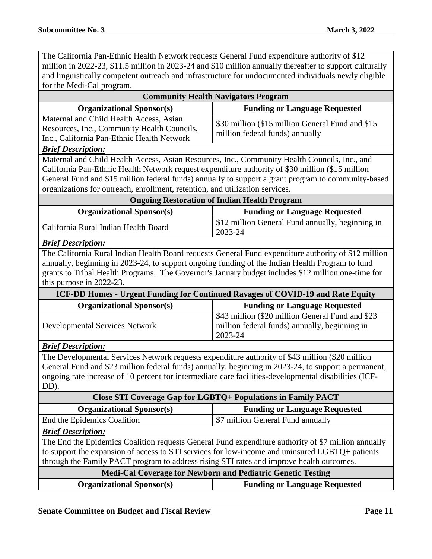The California Pan-Ethnic Health Network requests General Fund expenditure authority of \$12 million in 2022-23, \$11.5 million in 2023-24 and \$10 million annually thereafter to support culturally and linguistically competent outreach and infrastructure for undocumented individuals newly eligible for the Medi-Cal program.

| <b>Community Health Navigators Program</b>                                                                                                                                                                                                                                                                                                                                               |                                                                                                              |  |
|------------------------------------------------------------------------------------------------------------------------------------------------------------------------------------------------------------------------------------------------------------------------------------------------------------------------------------------------------------------------------------------|--------------------------------------------------------------------------------------------------------------|--|
| <b>Organizational Sponsor(s)</b>                                                                                                                                                                                                                                                                                                                                                         | <b>Funding or Language Requested</b>                                                                         |  |
| Maternal and Child Health Access, Asian<br>Resources, Inc., Community Health Councils,<br>Inc., California Pan-Ethnic Health Network                                                                                                                                                                                                                                                     | \$30 million (\$15 million General Fund and \$15<br>million federal funds) annually                          |  |
| <b>Brief Description:</b>                                                                                                                                                                                                                                                                                                                                                                |                                                                                                              |  |
| Maternal and Child Health Access, Asian Resources, Inc., Community Health Councils, Inc., and<br>California Pan-Ethnic Health Network request expenditure authority of \$30 million (\$15 million<br>General Fund and \$15 million federal funds) annually to support a grant program to community-based<br>organizations for outreach, enrollment, retention, and utilization services. |                                                                                                              |  |
|                                                                                                                                                                                                                                                                                                                                                                                          | <b>Ongoing Restoration of Indian Health Program</b>                                                          |  |
| <b>Organizational Sponsor(s)</b>                                                                                                                                                                                                                                                                                                                                                         | <b>Funding or Language Requested</b>                                                                         |  |
| California Rural Indian Health Board                                                                                                                                                                                                                                                                                                                                                     | \$12 million General Fund annually, beginning in<br>2023-24                                                  |  |
| <b>Brief Description:</b>                                                                                                                                                                                                                                                                                                                                                                |                                                                                                              |  |
| The California Rural Indian Health Board requests General Fund expenditure authority of \$12 million<br>annually, beginning in 2023-24, to support ongoing funding of the Indian Health Program to fund<br>grants to Tribal Health Programs. The Governor's January budget includes \$12 million one-time for<br>this purpose in 2022-23.                                                |                                                                                                              |  |
|                                                                                                                                                                                                                                                                                                                                                                                          | ICF-DD Homes - Urgent Funding for Continued Ravages of COVID-19 and Rate Equity                              |  |
| <b>Organizational Sponsor(s)</b>                                                                                                                                                                                                                                                                                                                                                         | <b>Funding or Language Requested</b>                                                                         |  |
| <b>Developmental Services Network</b>                                                                                                                                                                                                                                                                                                                                                    | \$43 million (\$20 million General Fund and \$23<br>million federal funds) annually, beginning in<br>2023-24 |  |
| <b>Brief Description:</b>                                                                                                                                                                                                                                                                                                                                                                |                                                                                                              |  |
| The Developmental Services Network requests expenditure authority of \$43 million (\$20 million<br>General Fund and \$23 million federal funds) annually, beginning in 2023-24, to support a permanent,<br>ongoing rate increase of 10 percent for intermediate care facilities-developmental disabilities (ICF-<br>DD).                                                                 |                                                                                                              |  |
| <b>Close STI Coverage Gap for LGBTQ+ Populations in Family PACT</b>                                                                                                                                                                                                                                                                                                                      |                                                                                                              |  |
| <b>Organizational Sponsor(s)</b>                                                                                                                                                                                                                                                                                                                                                         | <b>Funding or Language Requested</b>                                                                         |  |
| End the Epidemics Coalition                                                                                                                                                                                                                                                                                                                                                              | \$7 million General Fund annually                                                                            |  |
| <b>Brief Description:</b>                                                                                                                                                                                                                                                                                                                                                                |                                                                                                              |  |
| The End the Epidemics Coalition requests General Fund expenditure authority of \$7 million annually<br>to support the expansion of access to STI services for low-income and uninsured LGBTQ+ patients<br>through the Family PACT program to address rising STI rates and improve health outcomes.                                                                                       |                                                                                                              |  |
| Medi-Cal Coverage for Newborn and Pediatric Genetic Testing                                                                                                                                                                                                                                                                                                                              |                                                                                                              |  |
| <b>Organizational Sponsor(s)</b>                                                                                                                                                                                                                                                                                                                                                         | <b>Funding or Language Requested</b>                                                                         |  |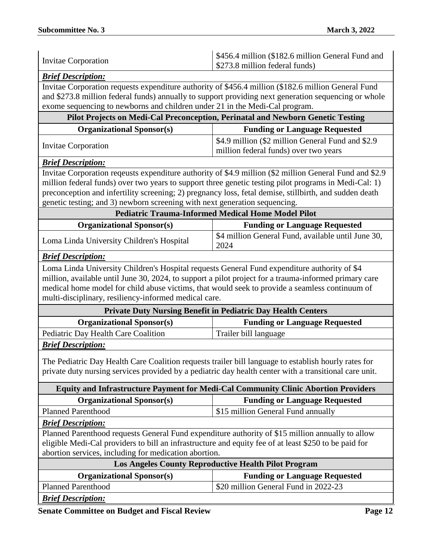| <b>Brief Description:</b><br>Invitae Corporation requests expenditure authority of \$456.4 million (\$182.6 million General Fund<br>and \$273.8 million federal funds) annually to support providing next generation sequencing or whole<br>exome sequencing to newborns and children under 21 in the Medi-Cal program.<br>Pilot Projects on Medi-Cal Preconception, Perinatal and Newborn Genetic Testing<br><b>Organizational Sponsor(s)</b><br><b>Funding or Language Requested</b><br>\$4.9 million (\$2 million General Fund and \$2.9)<br><b>Invitae Corporation</b><br>million federal funds) over two years<br><b>Brief Description:</b><br>Invitae Corporation reqeusts expenditure authority of \$4.9 million (\$2 million General Fund and \$2.9<br>million federal funds) over two years to support three genetic testing pilot programs in Medi-Cal: 1)<br>preconception and infertility screening; 2) pregnancy loss, fetal demise, stillbirth, and sudden death<br>genetic testing; and 3) newborn screening with next generation sequencing.<br><b>Pediatric Trauma-Informed Medical Home Model Pilot</b><br><b>Organizational Sponsor(s)</b><br><b>Funding or Language Requested</b><br>\$4 million General Fund, available until June 30,<br>Loma Linda University Children's Hospital<br>2024<br><b>Brief Description:</b><br>Loma Linda University Children's Hospital requests General Fund expenditure authority of \$4<br>million, available until June 30, 2024, to support a pilot project for a trauma-informed primary care<br>medical home model for child abuse victims, that would seek to provide a seamless continuum of<br>multi-disciplinary, resiliency-informed medical care.<br><b>Private Duty Nursing Benefit in Pediatric Day Health Centers</b><br><b>Organizational Sponsor(s)</b><br><b>Funding or Language Requested</b><br>Pediatric Day Health Care Coalition<br>Trailer bill language<br><b>Brief Description:</b><br>The Pediatric Day Health Care Coalition requests trailer bill language to establish hourly rates for<br>private duty nursing services provided by a pediatric day health center with a transitional care unit.<br><b>Equity and Infrastructure Payment for Medi-Cal Community Clinic Abortion Providers</b><br><b>Organizational Sponsor(s)</b><br><b>Funding or Language Requested</b><br><b>Planned Parenthood</b><br>\$15 million General Fund annually<br><b>Brief Description:</b><br>Planned Parenthood requests General Fund expenditure authority of \$15 million annually to allow<br>eligible Medi-Cal providers to bill an infrastructure and equity fee of at least \$250 to be paid for<br>abortion services, including for medication abortion.<br><b>Los Angeles County Reproductive Health Pilot Program</b><br><b>Organizational Sponsor(s)</b><br><b>Funding or Language Requested</b><br><b>Planned Parenthood</b><br>\$20 million General Fund in 2022-23 | <b>Invitae Corporation</b> | \$456.4 million (\$182.6 million General Fund and<br>\$273.8 million federal funds) |
|----------------------------------------------------------------------------------------------------------------------------------------------------------------------------------------------------------------------------------------------------------------------------------------------------------------------------------------------------------------------------------------------------------------------------------------------------------------------------------------------------------------------------------------------------------------------------------------------------------------------------------------------------------------------------------------------------------------------------------------------------------------------------------------------------------------------------------------------------------------------------------------------------------------------------------------------------------------------------------------------------------------------------------------------------------------------------------------------------------------------------------------------------------------------------------------------------------------------------------------------------------------------------------------------------------------------------------------------------------------------------------------------------------------------------------------------------------------------------------------------------------------------------------------------------------------------------------------------------------------------------------------------------------------------------------------------------------------------------------------------------------------------------------------------------------------------------------------------------------------------------------------------------------------------------------------------------------------------------------------------------------------------------------------------------------------------------------------------------------------------------------------------------------------------------------------------------------------------------------------------------------------------------------------------------------------------------------------------------------------------------------------------------------------------------------------------------------------------------------------------------------------------------------------------------------------------------------------------------------------------------------------------------------------------------------------------------------------------------------------------------------------------------------------------------------------------------------------------------------------------------------------------------------------------------------------------------|----------------------------|-------------------------------------------------------------------------------------|
|                                                                                                                                                                                                                                                                                                                                                                                                                                                                                                                                                                                                                                                                                                                                                                                                                                                                                                                                                                                                                                                                                                                                                                                                                                                                                                                                                                                                                                                                                                                                                                                                                                                                                                                                                                                                                                                                                                                                                                                                                                                                                                                                                                                                                                                                                                                                                                                                                                                                                                                                                                                                                                                                                                                                                                                                                                                                                                                                                    |                            |                                                                                     |
|                                                                                                                                                                                                                                                                                                                                                                                                                                                                                                                                                                                                                                                                                                                                                                                                                                                                                                                                                                                                                                                                                                                                                                                                                                                                                                                                                                                                                                                                                                                                                                                                                                                                                                                                                                                                                                                                                                                                                                                                                                                                                                                                                                                                                                                                                                                                                                                                                                                                                                                                                                                                                                                                                                                                                                                                                                                                                                                                                    |                            |                                                                                     |
|                                                                                                                                                                                                                                                                                                                                                                                                                                                                                                                                                                                                                                                                                                                                                                                                                                                                                                                                                                                                                                                                                                                                                                                                                                                                                                                                                                                                                                                                                                                                                                                                                                                                                                                                                                                                                                                                                                                                                                                                                                                                                                                                                                                                                                                                                                                                                                                                                                                                                                                                                                                                                                                                                                                                                                                                                                                                                                                                                    |                            |                                                                                     |
|                                                                                                                                                                                                                                                                                                                                                                                                                                                                                                                                                                                                                                                                                                                                                                                                                                                                                                                                                                                                                                                                                                                                                                                                                                                                                                                                                                                                                                                                                                                                                                                                                                                                                                                                                                                                                                                                                                                                                                                                                                                                                                                                                                                                                                                                                                                                                                                                                                                                                                                                                                                                                                                                                                                                                                                                                                                                                                                                                    |                            |                                                                                     |
|                                                                                                                                                                                                                                                                                                                                                                                                                                                                                                                                                                                                                                                                                                                                                                                                                                                                                                                                                                                                                                                                                                                                                                                                                                                                                                                                                                                                                                                                                                                                                                                                                                                                                                                                                                                                                                                                                                                                                                                                                                                                                                                                                                                                                                                                                                                                                                                                                                                                                                                                                                                                                                                                                                                                                                                                                                                                                                                                                    |                            |                                                                                     |
|                                                                                                                                                                                                                                                                                                                                                                                                                                                                                                                                                                                                                                                                                                                                                                                                                                                                                                                                                                                                                                                                                                                                                                                                                                                                                                                                                                                                                                                                                                                                                                                                                                                                                                                                                                                                                                                                                                                                                                                                                                                                                                                                                                                                                                                                                                                                                                                                                                                                                                                                                                                                                                                                                                                                                                                                                                                                                                                                                    |                            |                                                                                     |
|                                                                                                                                                                                                                                                                                                                                                                                                                                                                                                                                                                                                                                                                                                                                                                                                                                                                                                                                                                                                                                                                                                                                                                                                                                                                                                                                                                                                                                                                                                                                                                                                                                                                                                                                                                                                                                                                                                                                                                                                                                                                                                                                                                                                                                                                                                                                                                                                                                                                                                                                                                                                                                                                                                                                                                                                                                                                                                                                                    |                            |                                                                                     |
|                                                                                                                                                                                                                                                                                                                                                                                                                                                                                                                                                                                                                                                                                                                                                                                                                                                                                                                                                                                                                                                                                                                                                                                                                                                                                                                                                                                                                                                                                                                                                                                                                                                                                                                                                                                                                                                                                                                                                                                                                                                                                                                                                                                                                                                                                                                                                                                                                                                                                                                                                                                                                                                                                                                                                                                                                                                                                                                                                    |                            |                                                                                     |
|                                                                                                                                                                                                                                                                                                                                                                                                                                                                                                                                                                                                                                                                                                                                                                                                                                                                                                                                                                                                                                                                                                                                                                                                                                                                                                                                                                                                                                                                                                                                                                                                                                                                                                                                                                                                                                                                                                                                                                                                                                                                                                                                                                                                                                                                                                                                                                                                                                                                                                                                                                                                                                                                                                                                                                                                                                                                                                                                                    |                            |                                                                                     |
|                                                                                                                                                                                                                                                                                                                                                                                                                                                                                                                                                                                                                                                                                                                                                                                                                                                                                                                                                                                                                                                                                                                                                                                                                                                                                                                                                                                                                                                                                                                                                                                                                                                                                                                                                                                                                                                                                                                                                                                                                                                                                                                                                                                                                                                                                                                                                                                                                                                                                                                                                                                                                                                                                                                                                                                                                                                                                                                                                    |                            |                                                                                     |
|                                                                                                                                                                                                                                                                                                                                                                                                                                                                                                                                                                                                                                                                                                                                                                                                                                                                                                                                                                                                                                                                                                                                                                                                                                                                                                                                                                                                                                                                                                                                                                                                                                                                                                                                                                                                                                                                                                                                                                                                                                                                                                                                                                                                                                                                                                                                                                                                                                                                                                                                                                                                                                                                                                                                                                                                                                                                                                                                                    |                            |                                                                                     |
|                                                                                                                                                                                                                                                                                                                                                                                                                                                                                                                                                                                                                                                                                                                                                                                                                                                                                                                                                                                                                                                                                                                                                                                                                                                                                                                                                                                                                                                                                                                                                                                                                                                                                                                                                                                                                                                                                                                                                                                                                                                                                                                                                                                                                                                                                                                                                                                                                                                                                                                                                                                                                                                                                                                                                                                                                                                                                                                                                    |                            |                                                                                     |
|                                                                                                                                                                                                                                                                                                                                                                                                                                                                                                                                                                                                                                                                                                                                                                                                                                                                                                                                                                                                                                                                                                                                                                                                                                                                                                                                                                                                                                                                                                                                                                                                                                                                                                                                                                                                                                                                                                                                                                                                                                                                                                                                                                                                                                                                                                                                                                                                                                                                                                                                                                                                                                                                                                                                                                                                                                                                                                                                                    |                            |                                                                                     |
|                                                                                                                                                                                                                                                                                                                                                                                                                                                                                                                                                                                                                                                                                                                                                                                                                                                                                                                                                                                                                                                                                                                                                                                                                                                                                                                                                                                                                                                                                                                                                                                                                                                                                                                                                                                                                                                                                                                                                                                                                                                                                                                                                                                                                                                                                                                                                                                                                                                                                                                                                                                                                                                                                                                                                                                                                                                                                                                                                    |                            |                                                                                     |
|                                                                                                                                                                                                                                                                                                                                                                                                                                                                                                                                                                                                                                                                                                                                                                                                                                                                                                                                                                                                                                                                                                                                                                                                                                                                                                                                                                                                                                                                                                                                                                                                                                                                                                                                                                                                                                                                                                                                                                                                                                                                                                                                                                                                                                                                                                                                                                                                                                                                                                                                                                                                                                                                                                                                                                                                                                                                                                                                                    |                            |                                                                                     |
|                                                                                                                                                                                                                                                                                                                                                                                                                                                                                                                                                                                                                                                                                                                                                                                                                                                                                                                                                                                                                                                                                                                                                                                                                                                                                                                                                                                                                                                                                                                                                                                                                                                                                                                                                                                                                                                                                                                                                                                                                                                                                                                                                                                                                                                                                                                                                                                                                                                                                                                                                                                                                                                                                                                                                                                                                                                                                                                                                    |                            |                                                                                     |
|                                                                                                                                                                                                                                                                                                                                                                                                                                                                                                                                                                                                                                                                                                                                                                                                                                                                                                                                                                                                                                                                                                                                                                                                                                                                                                                                                                                                                                                                                                                                                                                                                                                                                                                                                                                                                                                                                                                                                                                                                                                                                                                                                                                                                                                                                                                                                                                                                                                                                                                                                                                                                                                                                                                                                                                                                                                                                                                                                    |                            |                                                                                     |
|                                                                                                                                                                                                                                                                                                                                                                                                                                                                                                                                                                                                                                                                                                                                                                                                                                                                                                                                                                                                                                                                                                                                                                                                                                                                                                                                                                                                                                                                                                                                                                                                                                                                                                                                                                                                                                                                                                                                                                                                                                                                                                                                                                                                                                                                                                                                                                                                                                                                                                                                                                                                                                                                                                                                                                                                                                                                                                                                                    |                            |                                                                                     |
|                                                                                                                                                                                                                                                                                                                                                                                                                                                                                                                                                                                                                                                                                                                                                                                                                                                                                                                                                                                                                                                                                                                                                                                                                                                                                                                                                                                                                                                                                                                                                                                                                                                                                                                                                                                                                                                                                                                                                                                                                                                                                                                                                                                                                                                                                                                                                                                                                                                                                                                                                                                                                                                                                                                                                                                                                                                                                                                                                    |                            |                                                                                     |
|                                                                                                                                                                                                                                                                                                                                                                                                                                                                                                                                                                                                                                                                                                                                                                                                                                                                                                                                                                                                                                                                                                                                                                                                                                                                                                                                                                                                                                                                                                                                                                                                                                                                                                                                                                                                                                                                                                                                                                                                                                                                                                                                                                                                                                                                                                                                                                                                                                                                                                                                                                                                                                                                                                                                                                                                                                                                                                                                                    |                            |                                                                                     |
|                                                                                                                                                                                                                                                                                                                                                                                                                                                                                                                                                                                                                                                                                                                                                                                                                                                                                                                                                                                                                                                                                                                                                                                                                                                                                                                                                                                                                                                                                                                                                                                                                                                                                                                                                                                                                                                                                                                                                                                                                                                                                                                                                                                                                                                                                                                                                                                                                                                                                                                                                                                                                                                                                                                                                                                                                                                                                                                                                    |                            |                                                                                     |
|                                                                                                                                                                                                                                                                                                                                                                                                                                                                                                                                                                                                                                                                                                                                                                                                                                                                                                                                                                                                                                                                                                                                                                                                                                                                                                                                                                                                                                                                                                                                                                                                                                                                                                                                                                                                                                                                                                                                                                                                                                                                                                                                                                                                                                                                                                                                                                                                                                                                                                                                                                                                                                                                                                                                                                                                                                                                                                                                                    |                            |                                                                                     |
|                                                                                                                                                                                                                                                                                                                                                                                                                                                                                                                                                                                                                                                                                                                                                                                                                                                                                                                                                                                                                                                                                                                                                                                                                                                                                                                                                                                                                                                                                                                                                                                                                                                                                                                                                                                                                                                                                                                                                                                                                                                                                                                                                                                                                                                                                                                                                                                                                                                                                                                                                                                                                                                                                                                                                                                                                                                                                                                                                    |                            |                                                                                     |
|                                                                                                                                                                                                                                                                                                                                                                                                                                                                                                                                                                                                                                                                                                                                                                                                                                                                                                                                                                                                                                                                                                                                                                                                                                                                                                                                                                                                                                                                                                                                                                                                                                                                                                                                                                                                                                                                                                                                                                                                                                                                                                                                                                                                                                                                                                                                                                                                                                                                                                                                                                                                                                                                                                                                                                                                                                                                                                                                                    |                            |                                                                                     |
|                                                                                                                                                                                                                                                                                                                                                                                                                                                                                                                                                                                                                                                                                                                                                                                                                                                                                                                                                                                                                                                                                                                                                                                                                                                                                                                                                                                                                                                                                                                                                                                                                                                                                                                                                                                                                                                                                                                                                                                                                                                                                                                                                                                                                                                                                                                                                                                                                                                                                                                                                                                                                                                                                                                                                                                                                                                                                                                                                    |                            |                                                                                     |
|                                                                                                                                                                                                                                                                                                                                                                                                                                                                                                                                                                                                                                                                                                                                                                                                                                                                                                                                                                                                                                                                                                                                                                                                                                                                                                                                                                                                                                                                                                                                                                                                                                                                                                                                                                                                                                                                                                                                                                                                                                                                                                                                                                                                                                                                                                                                                                                                                                                                                                                                                                                                                                                                                                                                                                                                                                                                                                                                                    |                            |                                                                                     |
|                                                                                                                                                                                                                                                                                                                                                                                                                                                                                                                                                                                                                                                                                                                                                                                                                                                                                                                                                                                                                                                                                                                                                                                                                                                                                                                                                                                                                                                                                                                                                                                                                                                                                                                                                                                                                                                                                                                                                                                                                                                                                                                                                                                                                                                                                                                                                                                                                                                                                                                                                                                                                                                                                                                                                                                                                                                                                                                                                    |                            |                                                                                     |
|                                                                                                                                                                                                                                                                                                                                                                                                                                                                                                                                                                                                                                                                                                                                                                                                                                                                                                                                                                                                                                                                                                                                                                                                                                                                                                                                                                                                                                                                                                                                                                                                                                                                                                                                                                                                                                                                                                                                                                                                                                                                                                                                                                                                                                                                                                                                                                                                                                                                                                                                                                                                                                                                                                                                                                                                                                                                                                                                                    |                            |                                                                                     |
|                                                                                                                                                                                                                                                                                                                                                                                                                                                                                                                                                                                                                                                                                                                                                                                                                                                                                                                                                                                                                                                                                                                                                                                                                                                                                                                                                                                                                                                                                                                                                                                                                                                                                                                                                                                                                                                                                                                                                                                                                                                                                                                                                                                                                                                                                                                                                                                                                                                                                                                                                                                                                                                                                                                                                                                                                                                                                                                                                    |                            |                                                                                     |
|                                                                                                                                                                                                                                                                                                                                                                                                                                                                                                                                                                                                                                                                                                                                                                                                                                                                                                                                                                                                                                                                                                                                                                                                                                                                                                                                                                                                                                                                                                                                                                                                                                                                                                                                                                                                                                                                                                                                                                                                                                                                                                                                                                                                                                                                                                                                                                                                                                                                                                                                                                                                                                                                                                                                                                                                                                                                                                                                                    |                            |                                                                                     |
|                                                                                                                                                                                                                                                                                                                                                                                                                                                                                                                                                                                                                                                                                                                                                                                                                                                                                                                                                                                                                                                                                                                                                                                                                                                                                                                                                                                                                                                                                                                                                                                                                                                                                                                                                                                                                                                                                                                                                                                                                                                                                                                                                                                                                                                                                                                                                                                                                                                                                                                                                                                                                                                                                                                                                                                                                                                                                                                                                    |                            |                                                                                     |
|                                                                                                                                                                                                                                                                                                                                                                                                                                                                                                                                                                                                                                                                                                                                                                                                                                                                                                                                                                                                                                                                                                                                                                                                                                                                                                                                                                                                                                                                                                                                                                                                                                                                                                                                                                                                                                                                                                                                                                                                                                                                                                                                                                                                                                                                                                                                                                                                                                                                                                                                                                                                                                                                                                                                                                                                                                                                                                                                                    |                            |                                                                                     |
|                                                                                                                                                                                                                                                                                                                                                                                                                                                                                                                                                                                                                                                                                                                                                                                                                                                                                                                                                                                                                                                                                                                                                                                                                                                                                                                                                                                                                                                                                                                                                                                                                                                                                                                                                                                                                                                                                                                                                                                                                                                                                                                                                                                                                                                                                                                                                                                                                                                                                                                                                                                                                                                                                                                                                                                                                                                                                                                                                    |                            |                                                                                     |
|                                                                                                                                                                                                                                                                                                                                                                                                                                                                                                                                                                                                                                                                                                                                                                                                                                                                                                                                                                                                                                                                                                                                                                                                                                                                                                                                                                                                                                                                                                                                                                                                                                                                                                                                                                                                                                                                                                                                                                                                                                                                                                                                                                                                                                                                                                                                                                                                                                                                                                                                                                                                                                                                                                                                                                                                                                                                                                                                                    |                            |                                                                                     |
|                                                                                                                                                                                                                                                                                                                                                                                                                                                                                                                                                                                                                                                                                                                                                                                                                                                                                                                                                                                                                                                                                                                                                                                                                                                                                                                                                                                                                                                                                                                                                                                                                                                                                                                                                                                                                                                                                                                                                                                                                                                                                                                                                                                                                                                                                                                                                                                                                                                                                                                                                                                                                                                                                                                                                                                                                                                                                                                                                    |                            |                                                                                     |
|                                                                                                                                                                                                                                                                                                                                                                                                                                                                                                                                                                                                                                                                                                                                                                                                                                                                                                                                                                                                                                                                                                                                                                                                                                                                                                                                                                                                                                                                                                                                                                                                                                                                                                                                                                                                                                                                                                                                                                                                                                                                                                                                                                                                                                                                                                                                                                                                                                                                                                                                                                                                                                                                                                                                                                                                                                                                                                                                                    |                            |                                                                                     |
|                                                                                                                                                                                                                                                                                                                                                                                                                                                                                                                                                                                                                                                                                                                                                                                                                                                                                                                                                                                                                                                                                                                                                                                                                                                                                                                                                                                                                                                                                                                                                                                                                                                                                                                                                                                                                                                                                                                                                                                                                                                                                                                                                                                                                                                                                                                                                                                                                                                                                                                                                                                                                                                                                                                                                                                                                                                                                                                                                    |                            |                                                                                     |
|                                                                                                                                                                                                                                                                                                                                                                                                                                                                                                                                                                                                                                                                                                                                                                                                                                                                                                                                                                                                                                                                                                                                                                                                                                                                                                                                                                                                                                                                                                                                                                                                                                                                                                                                                                                                                                                                                                                                                                                                                                                                                                                                                                                                                                                                                                                                                                                                                                                                                                                                                                                                                                                                                                                                                                                                                                                                                                                                                    | <b>Brief Description:</b>  |                                                                                     |

**Senate Committee on Budget and Fiscal Review <b>Page 12 Page 12**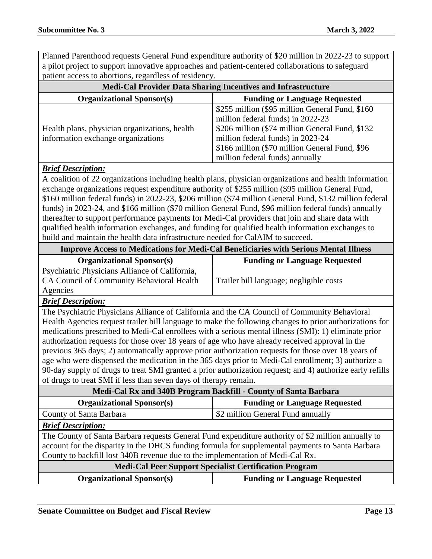Planned Parenthood requests General Fund expenditure authority of \$20 million in 2022-23 to support a pilot project to support innovative approaches and patient-centered collaborations to safeguard patient access to abortions, regardless of residency.

| <b>Medi-Cal Provider Data Sharing Incentives and Infrastructure</b>                 |                                                                                                                                                                                                                                                                     |
|-------------------------------------------------------------------------------------|---------------------------------------------------------------------------------------------------------------------------------------------------------------------------------------------------------------------------------------------------------------------|
| <b>Organizational Sponsor(s)</b>                                                    | <b>Funding or Language Requested</b>                                                                                                                                                                                                                                |
| Health plans, physician organizations, health<br>information exchange organizations | \$255 million (\$95 million General Fund, \$160)<br>million federal funds) in 2022-23<br>\$206 million (\$74 million General Fund, \$132)<br>million federal funds) in 2023-24<br>\$166 million (\$70 million General Fund, \$96<br>million federal funds) annually |
| <b>Brief Description:</b>                                                           |                                                                                                                                                                                                                                                                     |

#### A coalition of 22 organizations including health plans, physician organizations and health information exchange organizations request expenditure authority of \$255 million (\$95 million General Fund, \$160 million federal funds) in 2022-23, \$206 million (\$74 million General Fund, \$132 million federal funds) in 2023-24, and \$166 million (\$70 million General Fund, \$96 million federal funds) annually thereafter to support performance payments for Medi-Cal providers that join and share data with qualified health information exchanges, and funding for qualified health information exchanges to build and maintain the health data infrastructure needed for CalAIM to succeed.

| <b>Improve Access to Medications for Medi-Cal Beneficiaries with Serious Mental Illness</b> |                                         |
|---------------------------------------------------------------------------------------------|-----------------------------------------|
| <b>Organizational Sponsor(s)</b>                                                            | <b>Funding or Language Requested</b>    |
| Psychiatric Physicians Alliance of California,                                              |                                         |
| CA Council of Community Behavioral Health                                                   | Trailer bill language; negligible costs |
| Agencies                                                                                    |                                         |

#### *Brief Description:*

The Psychiatric Physicians Alliance of California and the CA Council of Community Behavioral Health Agencies request trailer bill language to make the following changes to prior authorizations for medications prescribed to Medi-Cal enrollees with a serious mental illness (SMI): 1) eliminate prior authorization requests for those over 18 years of age who have already received approval in the previous 365 days; 2) automatically approve prior authorization requests for those over 18 years of age who were dispensed the medication in the 365 days prior to Medi-Cal enrollment; 3) authorize a 90-day supply of drugs to treat SMI granted a prior authorization request; and 4) authorize early refills of drugs to treat SMI if less than seven days of therapy remain.

| Medi-Cal Rx and 340B Program Backfill - County of Santa Barbara                                                                                                                                                                                                                          |                                      |  |
|------------------------------------------------------------------------------------------------------------------------------------------------------------------------------------------------------------------------------------------------------------------------------------------|--------------------------------------|--|
| <b>Organizational Sponsor(s)</b>                                                                                                                                                                                                                                                         | <b>Funding or Language Requested</b> |  |
| County of Santa Barbara                                                                                                                                                                                                                                                                  | \$2 million General Fund annually    |  |
| <b>Brief Description:</b>                                                                                                                                                                                                                                                                |                                      |  |
| The County of Santa Barbara requests General Fund expenditure authority of \$2 million annually to<br>account for the disparity in the DHCS funding formula for supplemental payments to Santa Barbara<br>County to backfill lost 340B revenue due to the implementation of Medi-Cal Rx. |                                      |  |
| <b>Medi-Cal Peer Support Specialist Certification Program</b>                                                                                                                                                                                                                            |                                      |  |
| <b>Organizational Sponsor(s)</b>                                                                                                                                                                                                                                                         | <b>Funding or Language Requested</b> |  |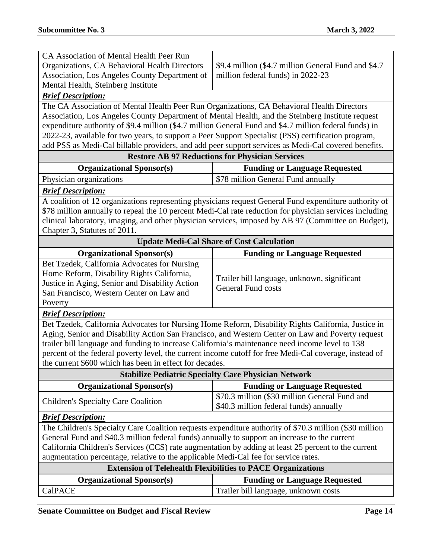| CA Association of Mental Health Peer Run                                                                                                                                                       |                                                                                                         |  |
|------------------------------------------------------------------------------------------------------------------------------------------------------------------------------------------------|---------------------------------------------------------------------------------------------------------|--|
| Organizations, CA Behavioral Health Directors                                                                                                                                                  | \$9.4 million (\$4.7 million General Fund and \$4.7                                                     |  |
| Association, Los Angeles County Department of<br>Mental Health, Steinberg Institute                                                                                                            | million federal funds) in 2022-23                                                                       |  |
|                                                                                                                                                                                                |                                                                                                         |  |
| <b>Brief Description:</b>                                                                                                                                                                      |                                                                                                         |  |
| The CA Association of Mental Health Peer Run Organizations, CA Behavioral Health Directors<br>Association, Los Angeles County Department of Mental Health, and the Steinberg Institute request |                                                                                                         |  |
| expenditure authority of \$9.4 million (\$4.7 million General Fund and \$4.7 million federal funds) in                                                                                         |                                                                                                         |  |
| 2022-23, available for two years, to support a Peer Support Specialist (PSS) certification program,                                                                                            |                                                                                                         |  |
|                                                                                                                                                                                                | add PSS as Medi-Cal billable providers, and add peer support services as Medi-Cal covered benefits.     |  |
|                                                                                                                                                                                                | <b>Restore AB 97 Reductions for Physician Services</b>                                                  |  |
| <b>Organizational Sponsor(s)</b>                                                                                                                                                               | <b>Funding or Language Requested</b>                                                                    |  |
| Physician organizations                                                                                                                                                                        | \$78 million General Fund annually                                                                      |  |
| <b>Brief Description:</b>                                                                                                                                                                      |                                                                                                         |  |
|                                                                                                                                                                                                | A coalition of 12 organizations representing physicians request General Fund expenditure authority of   |  |
|                                                                                                                                                                                                | \$78 million annually to repeal the 10 percent Medi-Cal rate reduction for physician services including |  |
|                                                                                                                                                                                                | clinical laboratory, imaging, and other physician services, imposed by AB 97 (Committee on Budget),     |  |
| Chapter 3, Statutes of 2011.                                                                                                                                                                   |                                                                                                         |  |
|                                                                                                                                                                                                | <b>Update Medi-Cal Share of Cost Calculation</b>                                                        |  |
| <b>Organizational Sponsor(s)</b>                                                                                                                                                               | <b>Funding or Language Requested</b>                                                                    |  |
| Bet Tzedek, California Advocates for Nursing                                                                                                                                                   |                                                                                                         |  |
| Home Reform, Disability Rights California,                                                                                                                                                     |                                                                                                         |  |
| Justice in Aging, Senior and Disability Action                                                                                                                                                 | Trailer bill language, unknown, significant                                                             |  |
| San Francisco, Western Center on Law and                                                                                                                                                       | <b>General Fund costs</b>                                                                               |  |
| Poverty                                                                                                                                                                                        |                                                                                                         |  |
| <b>Brief Description:</b>                                                                                                                                                                      |                                                                                                         |  |
| Bet Tzedek, California Advocates for Nursing Home Reform, Disability Rights California, Justice in                                                                                             |                                                                                                         |  |
|                                                                                                                                                                                                | Aging, Senior and Disability Action San Francisco, and Western Center on Law and Poverty request        |  |
| trailer bill language and funding to increase California's maintenance need income level to 138                                                                                                |                                                                                                         |  |
| percent of the federal poverty level, the current income cutoff for free Medi-Cal coverage, instead of                                                                                         |                                                                                                         |  |
| the current \$600 which has been in effect for decades.                                                                                                                                        |                                                                                                         |  |
|                                                                                                                                                                                                | <b>Stabilize Pediatric Specialty Care Physician Network</b>                                             |  |
| <b>Organizational Sponsor(s)</b>                                                                                                                                                               | <b>Funding or Language Requested</b>                                                                    |  |
| <b>Children's Specialty Care Coalition</b>                                                                                                                                                     | \$70.3 million (\$30 million General Fund and                                                           |  |
|                                                                                                                                                                                                | \$40.3 million federal funds) annually                                                                  |  |
| <b>Brief Description:</b>                                                                                                                                                                      |                                                                                                         |  |
| The Children's Specialty Care Coalition requests expenditure authority of \$70.3 million (\$30 million                                                                                         |                                                                                                         |  |
| General Fund and \$40.3 million federal funds) annually to support an increase to the current                                                                                                  |                                                                                                         |  |
| California Children's Services (CCS) rate augmentation by adding at least 25 percent to the current                                                                                            |                                                                                                         |  |
| augmentation percentage, relative to the applicable Medi-Cal fee for service rates.                                                                                                            |                                                                                                         |  |
|                                                                                                                                                                                                | <b>Extension of Telehealth Flexibilities to PACE Organizations</b>                                      |  |
| <b>Organizational Sponsor(s)</b>                                                                                                                                                               | <b>Funding or Language Requested</b>                                                                    |  |
| CalPACE                                                                                                                                                                                        | Trailer bill language, unknown costs                                                                    |  |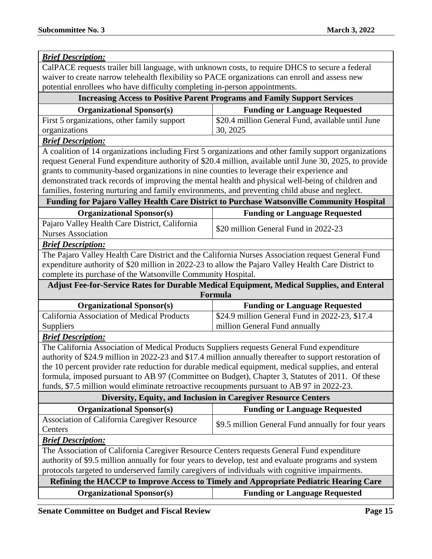| <b>Brief Description:</b>                                                                               |                                                                                                         |
|---------------------------------------------------------------------------------------------------------|---------------------------------------------------------------------------------------------------------|
| CalPACE requests trailer bill language, with unknown costs, to require DHCS to secure a federal         |                                                                                                         |
| waiver to create narrow telehealth flexibility so PACE organizations can enroll and assess new          |                                                                                                         |
| potential enrollees who have difficulty completing in-person appointments.                              |                                                                                                         |
|                                                                                                         | <b>Increasing Access to Positive Parent Programs and Family Support Services</b>                        |
| <b>Organizational Sponsor(s)</b>                                                                        | <b>Funding or Language Requested</b>                                                                    |
| First 5 organizations, other family support                                                             | \$20.4 million General Fund, available until June                                                       |
| organizations                                                                                           | 30, 2025                                                                                                |
| <b>Brief Description:</b>                                                                               |                                                                                                         |
|                                                                                                         | A coalition of 14 organizations including First 5 organizations and other family support organizations  |
|                                                                                                         | request General Fund expenditure authority of \$20.4 million, available until June 30, 2025, to provide |
| grants to community-based organizations in nine counties to leverage their experience and               |                                                                                                         |
| demonstrated track records of improving the mental health and physical well-being of children and       |                                                                                                         |
| families, fostering nurturing and family environments, and preventing child abuse and neglect.          |                                                                                                         |
| Funding for Pajaro Valley Health Care District to Purchase Watsonville Community Hospital               |                                                                                                         |
| <b>Organizational Sponsor(s)</b>                                                                        | <b>Funding or Language Requested</b>                                                                    |
| Pajaro Valley Health Care District, California                                                          | \$20 million General Fund in 2022-23                                                                    |
| <b>Nurses Association</b>                                                                               |                                                                                                         |
| <b>Brief Description:</b>                                                                               |                                                                                                         |
| The Pajaro Valley Health Care District and the California Nurses Association request General Fund       |                                                                                                         |
| expenditure authority of \$20 million in 2022-23 to allow the Pajaro Valley Health Care District to     |                                                                                                         |
| complete its purchase of the Watsonville Community Hospital.                                            |                                                                                                         |
|                                                                                                         | Adjust Fee-for-Service Rates for Durable Medical Equipment, Medical Supplies, and Enteral<br>Formula    |
| <b>Organizational Sponsor(s)</b>                                                                        | <b>Funding or Language Requested</b>                                                                    |
| California Association of Medical Products                                                              | \$24.9 million General Fund in 2022-23, \$17.4                                                          |
| Suppliers                                                                                               | million General Fund annually                                                                           |
| <b>Brief Description:</b>                                                                               |                                                                                                         |
| The California Association of Medical Products Suppliers requests General Fund expenditure              |                                                                                                         |
| authority of \$24.9 million in 2022-23 and \$17.4 million annually thereafter to support restoration of |                                                                                                         |
| the 10 percent provider rate reduction for durable medical equipment, medical supplies, and enteral     |                                                                                                         |
| formula, imposed pursuant to AB 97 (Committee on Budget), Chapter 3, Statutes of 2011. Of these         |                                                                                                         |
| funds, \$7.5 million would eliminate retroactive recoupments pursuant to AB 97 in 2022-23.              |                                                                                                         |
|                                                                                                         | Diversity, Equity, and Inclusion in Caregiver Resource Centers                                          |
| <b>Organizational Sponsor(s)</b>                                                                        | <b>Funding or Language Requested</b>                                                                    |
| <b>Association of California Caregiver Resource</b>                                                     | \$9.5 million General Fund annually for four years                                                      |
| Centers                                                                                                 |                                                                                                         |
| <b>Brief Description:</b>                                                                               |                                                                                                         |
| The Association of California Caregiver Resource Centers requests General Fund expenditure              |                                                                                                         |
| authority of \$9.5 million annually for four years to develop, test and evaluate programs and system    |                                                                                                         |
| protocols targeted to underserved family caregivers of individuals with cognitive impairments.          |                                                                                                         |
| Refining the HACCP to Improve Access to Timely and Appropriate Pediatric Hearing Care                   |                                                                                                         |
| <b>Organizational Sponsor(s)</b>                                                                        | <b>Funding or Language Requested</b>                                                                    |

**Senate Committee on Budget and Fiscal Review <b>Page 15 Page 15**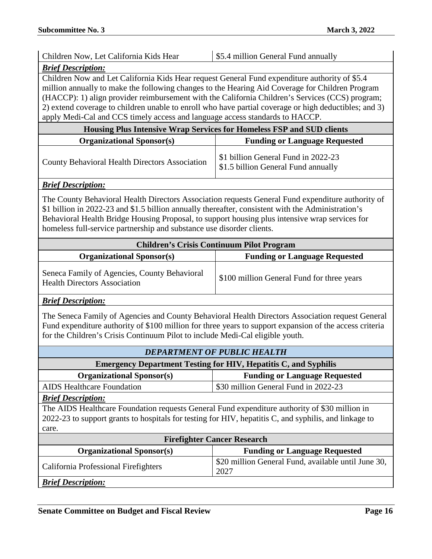| Children Now, Let California Kids Hear                                                                                                                                                                                                                                                                                                                                                                                                                                                       | \$5.4 million General Fund annually                                        |  |
|----------------------------------------------------------------------------------------------------------------------------------------------------------------------------------------------------------------------------------------------------------------------------------------------------------------------------------------------------------------------------------------------------------------------------------------------------------------------------------------------|----------------------------------------------------------------------------|--|
| <b>Brief Description:</b>                                                                                                                                                                                                                                                                                                                                                                                                                                                                    |                                                                            |  |
| Children Now and Let California Kids Hear request General Fund expenditure authority of \$5.4<br>million annually to make the following changes to the Hearing Aid Coverage for Children Program<br>(HACCP): 1) align provider reimbursement with the California Children's Services (CCS) program;<br>2) extend coverage to children unable to enroll who have partial coverage or high deductibles; and 3)<br>apply Medi-Cal and CCS timely access and language access standards to HACCP. |                                                                            |  |
|                                                                                                                                                                                                                                                                                                                                                                                                                                                                                              | Housing Plus Intensive Wrap Services for Homeless FSP and SUD clients      |  |
| <b>Organizational Sponsor(s)</b>                                                                                                                                                                                                                                                                                                                                                                                                                                                             | <b>Funding or Language Requested</b>                                       |  |
| <b>County Behavioral Health Directors Association</b>                                                                                                                                                                                                                                                                                                                                                                                                                                        | \$1 billion General Fund in 2022-23<br>\$1.5 billion General Fund annually |  |
| <b>Brief Description:</b>                                                                                                                                                                                                                                                                                                                                                                                                                                                                    |                                                                            |  |
| The County Behavioral Health Directors Association requests General Fund expenditure authority of<br>\$1 billion in 2022-23 and \$1.5 billion annually thereafter, consistent with the Administration's<br>Behavioral Health Bridge Housing Proposal, to support housing plus intensive wrap services for<br>homeless full-service partnership and substance use disorder clients.                                                                                                           |                                                                            |  |
| <b>Children's Crisis Continuum Pilot Program</b>                                                                                                                                                                                                                                                                                                                                                                                                                                             |                                                                            |  |
| <b>Organizational Sponsor(s)</b>                                                                                                                                                                                                                                                                                                                                                                                                                                                             | <b>Funding or Language Requested</b>                                       |  |
| Seneca Family of Agencies, County Behavioral<br><b>Health Directors Association</b>                                                                                                                                                                                                                                                                                                                                                                                                          | \$100 million General Fund for three years                                 |  |
| <b>Brief Description:</b>                                                                                                                                                                                                                                                                                                                                                                                                                                                                    |                                                                            |  |
| The Seneca Family of Agencies and County Behavioral Health Directors Association request General<br>Fund expenditure authority of \$100 million for three years to support expansion of the access criteria<br>for the Children's Crisis Continuum Pilot to include Medi-Cal eligible youth.                                                                                                                                                                                                 |                                                                            |  |
|                                                                                                                                                                                                                                                                                                                                                                                                                                                                                              | <b>DEPARTMENT OF PUBLIC HEALTH</b>                                         |  |
| <b>Emergency Department Testing for HIV, Hepatitis C, and Syphilis</b>                                                                                                                                                                                                                                                                                                                                                                                                                       |                                                                            |  |
| <b>Organizational Sponsor(s)</b>                                                                                                                                                                                                                                                                                                                                                                                                                                                             | <b>Funding or Language Requested</b>                                       |  |
| <b>AIDS Healthcare Foundation</b>                                                                                                                                                                                                                                                                                                                                                                                                                                                            | \$30 million General Fund in 2022-23                                       |  |
| <b>Brief Description:</b>                                                                                                                                                                                                                                                                                                                                                                                                                                                                    |                                                                            |  |
| The AIDS Healthcare Foundation requests General Fund expenditure authority of \$30 million in<br>2022-23 to support grants to hospitals for testing for HIV, hepatitis C, and syphilis, and linkage to<br>care.                                                                                                                                                                                                                                                                              |                                                                            |  |
| <b>Firefighter Cancer Research</b>                                                                                                                                                                                                                                                                                                                                                                                                                                                           |                                                                            |  |
| <b>Organizational Sponsor(s)</b>                                                                                                                                                                                                                                                                                                                                                                                                                                                             | <b>Funding or Language Requested</b>                                       |  |
|                                                                                                                                                                                                                                                                                                                                                                                                                                                                                              |                                                                            |  |
| California Professional Firefighters                                                                                                                                                                                                                                                                                                                                                                                                                                                         | \$20 million General Fund, available until June 30,<br>2027                |  |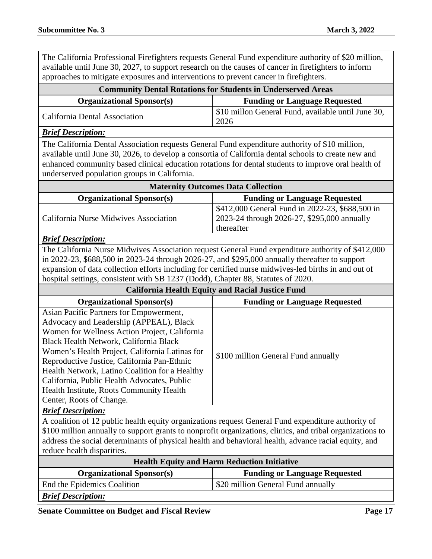The California Professional Firefighters requests General Fund expenditure authority of \$20 million, available until June 30, 2027, to support research on the causes of cancer in firefighters to inform approaches to mitigate exposures and interventions to prevent cancer in firefighters.

| <b>Community Dental Rotations for Students in Underserved Areas</b>                                                                                                                                                                                                                                                                                                                                                                                     |                                                                                                              |  |
|---------------------------------------------------------------------------------------------------------------------------------------------------------------------------------------------------------------------------------------------------------------------------------------------------------------------------------------------------------------------------------------------------------------------------------------------------------|--------------------------------------------------------------------------------------------------------------|--|
| <b>Organizational Sponsor(s)</b>                                                                                                                                                                                                                                                                                                                                                                                                                        | <b>Funding or Language Requested</b>                                                                         |  |
| California Dental Association                                                                                                                                                                                                                                                                                                                                                                                                                           | \$10 millon General Fund, available until June 30,<br>2026                                                   |  |
| <b>Brief Description:</b>                                                                                                                                                                                                                                                                                                                                                                                                                               |                                                                                                              |  |
| The California Dental Association requests General Fund expenditure authority of \$10 million,<br>available until June 30, 2026, to develop a consortia of California dental schools to create new and<br>enhanced community based clinical education rotations for dental students to improve oral health of<br>underserved population groups in California.                                                                                           |                                                                                                              |  |
|                                                                                                                                                                                                                                                                                                                                                                                                                                                         | <b>Maternity Outcomes Data Collection</b>                                                                    |  |
| <b>Organizational Sponsor(s)</b>                                                                                                                                                                                                                                                                                                                                                                                                                        | <b>Funding or Language Requested</b>                                                                         |  |
| California Nurse Midwives Association                                                                                                                                                                                                                                                                                                                                                                                                                   | \$412,000 General Fund in 2022-23, \$688,500 in<br>2023-24 through 2026-27, \$295,000 annually<br>thereafter |  |
| <b>Brief Description:</b>                                                                                                                                                                                                                                                                                                                                                                                                                               |                                                                                                              |  |
| The California Nurse Midwives Association request General Fund expenditure authority of \$412,000<br>in 2022-23, \$688,500 in 2023-24 through 2026-27, and \$295,000 annually thereafter to support<br>expansion of data collection efforts including for certified nurse midwives-led births in and out of<br>hospital settings, consistent with SB 1237 (Dodd), Chapter 88, Statutes of 2020.                                                         |                                                                                                              |  |
| <b>California Health Equity and Racial Justice Fund</b>                                                                                                                                                                                                                                                                                                                                                                                                 |                                                                                                              |  |
|                                                                                                                                                                                                                                                                                                                                                                                                                                                         |                                                                                                              |  |
| <b>Organizational Sponsor(s)</b>                                                                                                                                                                                                                                                                                                                                                                                                                        | <b>Funding or Language Requested</b>                                                                         |  |
| Asian Pacific Partners for Empowerment,<br>Advocacy and Leadership (APPEAL), Black<br>Women for Wellness Action Project, California<br>Black Health Network, California Black<br>Women's Health Project, California Latinas for<br>Reproductive Justice, California Pan-Ethnic<br>Health Network, Latino Coalition for a Healthy<br>California, Public Health Advocates, Public<br>Health Institute, Roots Community Health<br>Center, Roots of Change. | \$100 million General Fund annually                                                                          |  |
| <b>Brief Description:</b>                                                                                                                                                                                                                                                                                                                                                                                                                               |                                                                                                              |  |
| A coalition of 12 public health equity organizations request General Fund expenditure authority of<br>address the social determinants of physical health and behavioral health, advance racial equity, and<br>reduce health disparities.                                                                                                                                                                                                                | \$100 million annually to support grants to nonprofit organizations, clinics, and tribal organizations to    |  |
|                                                                                                                                                                                                                                                                                                                                                                                                                                                         | <b>Health Equity and Harm Reduction Initiative</b>                                                           |  |
| <b>Organizational Sponsor(s)</b>                                                                                                                                                                                                                                                                                                                                                                                                                        | <b>Funding or Language Requested</b>                                                                         |  |
| End the Epidemics Coalition                                                                                                                                                                                                                                                                                                                                                                                                                             | \$20 million General Fund annually                                                                           |  |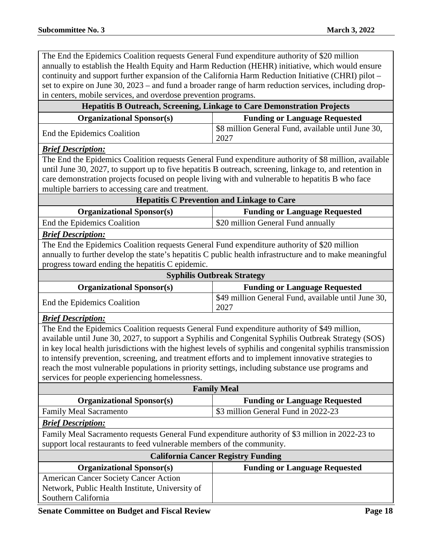The End the Epidemics Coalition requests General Fund expenditure authority of \$20 million annually to establish the Health Equity and Harm Reduction (HEHR) initiative, which would ensure continuity and support further expansion of the California Harm Reduction Initiative (CHRI) pilot – set to expire on June 30, 2023 – and fund a broader range of harm reduction services, including dropin centers, mobile services, and overdose prevention programs.

| in centers, mobile services, and overdose prevention programs.                                                                                                                                                                                                                                                                                                                                                                                                                                                                                                                  |                                                                                                          |  |
|---------------------------------------------------------------------------------------------------------------------------------------------------------------------------------------------------------------------------------------------------------------------------------------------------------------------------------------------------------------------------------------------------------------------------------------------------------------------------------------------------------------------------------------------------------------------------------|----------------------------------------------------------------------------------------------------------|--|
|                                                                                                                                                                                                                                                                                                                                                                                                                                                                                                                                                                                 | Hepatitis B Outreach, Screening, Linkage to Care Demonstration Projects                                  |  |
| <b>Organizational Sponsor(s)</b>                                                                                                                                                                                                                                                                                                                                                                                                                                                                                                                                                | <b>Funding or Language Requested</b>                                                                     |  |
| End the Epidemics Coalition                                                                                                                                                                                                                                                                                                                                                                                                                                                                                                                                                     | \$8 million General Fund, available until June 30,<br>2027                                               |  |
| <b>Brief Description:</b>                                                                                                                                                                                                                                                                                                                                                                                                                                                                                                                                                       |                                                                                                          |  |
|                                                                                                                                                                                                                                                                                                                                                                                                                                                                                                                                                                                 | The End the Epidemics Coalition requests General Fund expenditure authority of \$8 million, available    |  |
|                                                                                                                                                                                                                                                                                                                                                                                                                                                                                                                                                                                 | until June 30, 2027, to support up to five hepatitis B outreach, screening, linkage to, and retention in |  |
| care demonstration projects focused on people living with and vulnerable to hepatitis B who face                                                                                                                                                                                                                                                                                                                                                                                                                                                                                |                                                                                                          |  |
| multiple barriers to accessing care and treatment.                                                                                                                                                                                                                                                                                                                                                                                                                                                                                                                              |                                                                                                          |  |
|                                                                                                                                                                                                                                                                                                                                                                                                                                                                                                                                                                                 | <b>Hepatitis C Prevention and Linkage to Care</b>                                                        |  |
| <b>Organizational Sponsor(s)</b>                                                                                                                                                                                                                                                                                                                                                                                                                                                                                                                                                | <b>Funding or Language Requested</b>                                                                     |  |
| End the Epidemics Coalition                                                                                                                                                                                                                                                                                                                                                                                                                                                                                                                                                     | \$20 million General Fund annually                                                                       |  |
| <b>Brief Description:</b>                                                                                                                                                                                                                                                                                                                                                                                                                                                                                                                                                       |                                                                                                          |  |
| The End the Epidemics Coalition requests General Fund expenditure authority of \$20 million                                                                                                                                                                                                                                                                                                                                                                                                                                                                                     |                                                                                                          |  |
|                                                                                                                                                                                                                                                                                                                                                                                                                                                                                                                                                                                 | annually to further develop the state's hepatitis C public health infrastructure and to make meaningful  |  |
| progress toward ending the hepatitis C epidemic.                                                                                                                                                                                                                                                                                                                                                                                                                                                                                                                                |                                                                                                          |  |
| <b>Syphilis Outbreak Strategy</b>                                                                                                                                                                                                                                                                                                                                                                                                                                                                                                                                               |                                                                                                          |  |
| <b>Organizational Sponsor(s)</b>                                                                                                                                                                                                                                                                                                                                                                                                                                                                                                                                                | <b>Funding or Language Requested</b>                                                                     |  |
| End the Epidemics Coalition                                                                                                                                                                                                                                                                                                                                                                                                                                                                                                                                                     | \$49 million General Fund, available until June 30,<br>2027                                              |  |
| <b>Brief Description:</b>                                                                                                                                                                                                                                                                                                                                                                                                                                                                                                                                                       |                                                                                                          |  |
| The End the Epidemics Coalition requests General Fund expenditure authority of \$49 million,<br>available until June 30, 2027, to support a Syphilis and Congenital Syphilis Outbreak Strategy (SOS)<br>in key local health jurisdictions with the highest levels of syphilis and congenital syphilis transmission<br>to intensify prevention, screening, and treatment efforts and to implement innovative strategies to<br>reach the most vulnerable populations in priority settings, including substance use programs and<br>services for people experiencing homelessness. |                                                                                                          |  |
| <b>Family Meal</b>                                                                                                                                                                                                                                                                                                                                                                                                                                                                                                                                                              |                                                                                                          |  |
| <b>Organizational Sponsor(s)</b>                                                                                                                                                                                                                                                                                                                                                                                                                                                                                                                                                | <b>Funding or Language Requested</b>                                                                     |  |
| Family Meal Sacramento                                                                                                                                                                                                                                                                                                                                                                                                                                                                                                                                                          | \$3 million General Fund in 2022-23                                                                      |  |
| <b>Brief Description:</b>                                                                                                                                                                                                                                                                                                                                                                                                                                                                                                                                                       |                                                                                                          |  |
| Family Meal Sacramento requests General Fund expenditure authority of \$3 million in 2022-23 to                                                                                                                                                                                                                                                                                                                                                                                                                                                                                 |                                                                                                          |  |
| support local restaurants to feed vulnerable members of the community.                                                                                                                                                                                                                                                                                                                                                                                                                                                                                                          |                                                                                                          |  |
| <b>California Cancer Registry Funding</b>                                                                                                                                                                                                                                                                                                                                                                                                                                                                                                                                       |                                                                                                          |  |
| <b>Organizational Sponsor(s)</b>                                                                                                                                                                                                                                                                                                                                                                                                                                                                                                                                                | <b>Funding or Language Requested</b>                                                                     |  |
| <b>American Cancer Society Cancer Action</b><br>Network, Public Health Institute, University of<br>Southern California                                                                                                                                                                                                                                                                                                                                                                                                                                                          |                                                                                                          |  |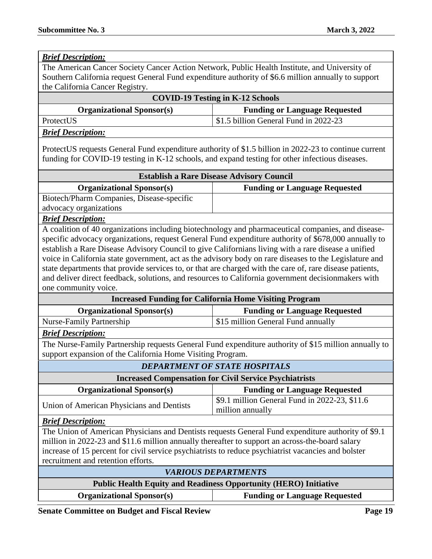| <b>Brief Description:</b>                                                                                |                                                                                                        |  |
|----------------------------------------------------------------------------------------------------------|--------------------------------------------------------------------------------------------------------|--|
| The American Cancer Society Cancer Action Network, Public Health Institute, and University of            |                                                                                                        |  |
| Southern California request General Fund expenditure authority of \$6.6 million annually to support      |                                                                                                        |  |
| the California Cancer Registry.                                                                          |                                                                                                        |  |
|                                                                                                          | <b>COVID-19 Testing in K-12 Schools</b>                                                                |  |
| <b>Organizational Sponsor(s)</b>                                                                         | <b>Funding or Language Requested</b>                                                                   |  |
| ProtectUS                                                                                                | \$1.5 billion General Fund in 2022-23                                                                  |  |
| <b>Brief Description:</b>                                                                                |                                                                                                        |  |
|                                                                                                          |                                                                                                        |  |
|                                                                                                          | ProtectUS requests General Fund expenditure authority of \$1.5 billion in 2022-23 to continue current  |  |
| funding for COVID-19 testing in K-12 schools, and expand testing for other infectious diseases.          |                                                                                                        |  |
|                                                                                                          | <b>Establish a Rare Disease Advisory Council</b>                                                       |  |
| <b>Organizational Sponsor(s)</b>                                                                         | <b>Funding or Language Requested</b>                                                                   |  |
| Biotech/Pharm Companies, Disease-specific                                                                |                                                                                                        |  |
| advocacy organizations                                                                                   |                                                                                                        |  |
| <b>Brief Description:</b>                                                                                |                                                                                                        |  |
|                                                                                                          | A coalition of 40 organizations including biotechnology and pharmaceutical companies, and disease-     |  |
|                                                                                                          | specific advocacy organizations, request General Fund expenditure authority of \$678,000 annually to   |  |
| establish a Rare Disease Advisory Council to give Californians living with a rare disease a unified      |                                                                                                        |  |
|                                                                                                          | voice in California state government, act as the advisory body on rare diseases to the Legislature and |  |
| state departments that provide services to, or that are charged with the care of, rare disease patients, |                                                                                                        |  |
| and deliver direct feedback, solutions, and resources to California government decisionmakers with       |                                                                                                        |  |
| one community voice.                                                                                     |                                                                                                        |  |
|                                                                                                          | <b>Increased Funding for California Home Visiting Program</b>                                          |  |
| <b>Organizational Sponsor(s)</b>                                                                         | <b>Funding or Language Requested</b>                                                                   |  |
| <b>Nurse-Family Partnership</b>                                                                          | \$15 million General Fund annually                                                                     |  |
| <b>Brief Description:</b>                                                                                |                                                                                                        |  |
| The Nurse-Family Partnership requests General Fund expenditure authority of \$15 million annually to     |                                                                                                        |  |
| support expansion of the California Home Visiting Program.                                               |                                                                                                        |  |
| <b>DEPARTMENT OF STATE HOSPITALS</b>                                                                     |                                                                                                        |  |
| <b>Increased Compensation for Civil Service Psychiatrists</b>                                            |                                                                                                        |  |
| <b>Organizational Sponsor(s)</b>                                                                         | <b>Funding or Language Requested</b>                                                                   |  |
| Union of American Physicians and Dentists                                                                | \$9.1 million General Fund in 2022-23, \$11.6<br>million annually                                      |  |
| <b>Brief Description:</b>                                                                                |                                                                                                        |  |
|                                                                                                          | The Union of American Physicians and Dentists requests General Fund expenditure authority of \$9.1     |  |
| million in 2022-23 and \$11.6 million annually thereafter to support an across-the-board salary          |                                                                                                        |  |
| increase of 15 percent for civil service psychiatrists to reduce psychiatrist vacancies and bolster      |                                                                                                        |  |
| recruitment and retention efforts.                                                                       |                                                                                                        |  |
| <b>VARIOUS DEPARTMENTS</b>                                                                               |                                                                                                        |  |
| <b>Public Health Equity and Readiness Opportunity (HERO) Initiative</b>                                  |                                                                                                        |  |
| <b>Organizational Sponsor(s)</b>                                                                         | <b>Funding or Language Requested</b>                                                                   |  |

**Senate Committee on Budget and Fiscal Review <b>Page 19 Page 19**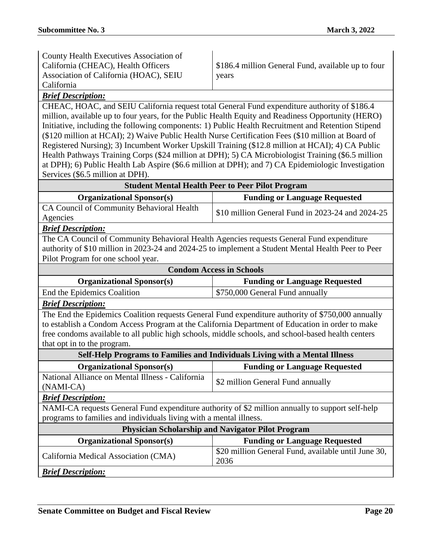| County Health Executives Association of |                               |
|-----------------------------------------|-------------------------------|
| California (CHEAC), Health Officers     | $\frac{1}{2}$ \$186.4 million |
| Association of California (HOAC), SEIU  | years                         |
| California                              |                               |
|                                         |                               |

General Fund, available up to four

## *Brief Description:*

CHEAC, HOAC, and SEIU California request total General Fund expenditure authority of \$186.4 million, available up to four years, for the Public Health Equity and Readiness Opportunity (HERO) Initiative, including the following components: 1) Public Health Recruitment and Retention Stipend (\$120 million at HCAI); 2) Waive Public Health Nurse Certification Fees (\$10 million at Board of Registered Nursing); 3) Incumbent Worker Upskill Training (\$12.8 million at HCAI); 4) CA Public Health Pathways Training Corps (\$24 million at DPH); 5) CA Microbiologist Training (\$6.5 million at DPH); 6) Public Health Lab Aspire (\$6.6 million at DPH); and 7) CA Epidemiologic Investigation Services (\$6.5 million at DPH).

| <b>Student Mental Health Peer to Peer Pilot Program</b> |                                                  |
|---------------------------------------------------------|--------------------------------------------------|
| <b>Organizational Sponsor(s)</b>                        | <b>Funding or Language Requested</b>             |
| CA Council of Community Behavioral Health               | \$10 million General Fund in 2023-24 and 2024-25 |
| Agencies                                                |                                                  |
| <b>Brief Description:</b>                               |                                                  |

The CA Council of Community Behavioral Health Agencies requests General Fund expenditure authority of \$10 million in 2023-24 and 2024-25 to implement a Student Mental Health Peer to Peer Pilot Program for one school year.

| <b>Condom Access in Schools</b>                                                                    |                                      |  |
|----------------------------------------------------------------------------------------------------|--------------------------------------|--|
| <b>Organizational Sponsor(s)</b>                                                                   | <b>Funding or Language Requested</b> |  |
| End the Epidemics Coalition                                                                        | \$750,000 General Fund annually      |  |
| <b>Brief Description:</b>                                                                          |                                      |  |
| The End the Epidemics Coalition requests General Fund expenditure authority of \$750,000 annually  |                                      |  |
| to establish a Condom Access Program at the California Department of Education in order to make    |                                      |  |
| free condoms available to all public high schools, middle schools, and school-based health centers |                                      |  |
| that opt in to the program.                                                                        |                                      |  |
| Self-Help Programs to Families and Individuals Living with a Mental Illness                        |                                      |  |
| <b>Organizational Sponsor(s)</b>                                                                   | <b>Funding or Language Requested</b> |  |
| National Alliance on Mental Illness - California                                                   |                                      |  |
| $(NAMI-CA)$                                                                                        | \$2 million General Fund annually    |  |

#### *Brief Description:*

NAMI-CA requests General Fund expenditure authority of \$2 million annually to support self-help programs to families and individuals living with a mental illness.

| <b>Physician Scholarship and Navigator Pilot Program</b> |                                                             |
|----------------------------------------------------------|-------------------------------------------------------------|
| <b>Organizational Sponsor(s)</b>                         | <b>Funding or Language Requested</b>                        |
| California Medical Association (CMA)                     | \$20 million General Fund, available until June 30,<br>2036 |
| <b>Brief Description:</b>                                |                                                             |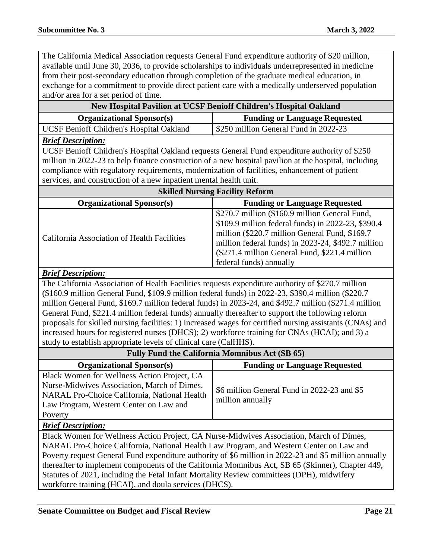The California Medical Association requests General Fund expenditure authority of \$20 million, available until June 30, 2036, to provide scholarships to individuals underrepresented in medicine from their post-secondary education through completion of the graduate medical education, in exchange for a commitment to provide direct patient care with a medically underserved population and/or area for a set period of time.

| New Hospital Pavilion at UCSF Benioff Children's Hospital Oakland                                                                                                                  |                                                                                                          |
|------------------------------------------------------------------------------------------------------------------------------------------------------------------------------------|----------------------------------------------------------------------------------------------------------|
| <b>Organizational Sponsor(s)</b>                                                                                                                                                   | <b>Funding or Language Requested</b>                                                                     |
| UCSF Benioff Children's Hospital Oakland                                                                                                                                           | \$250 million General Fund in 2022-23                                                                    |
| <b>Brief Description:</b>                                                                                                                                                          |                                                                                                          |
| UCSF Benioff Children's Hospital Oakland requests General Fund expenditure authority of \$250                                                                                      |                                                                                                          |
| million in 2022-23 to help finance construction of a new hospital pavilion at the hospital, including                                                                              |                                                                                                          |
| compliance with regulatory requirements, modernization of facilities, enhancement of patient                                                                                       |                                                                                                          |
| services, and construction of a new inpatient mental health unit.                                                                                                                  |                                                                                                          |
|                                                                                                                                                                                    | <b>Skilled Nursing Facility Reform</b>                                                                   |
| <b>Organizational Sponsor(s)</b>                                                                                                                                                   | <b>Funding or Language Requested</b>                                                                     |
|                                                                                                                                                                                    | \$270.7 million (\$160.9 million General Fund,                                                           |
|                                                                                                                                                                                    | \$109.9 million federal funds) in 2022-23, \$390.4                                                       |
| California Association of Health Facilities                                                                                                                                        | million (\$220.7 million General Fund, \$169.7<br>million federal funds) in 2023-24, \$492.7 million     |
|                                                                                                                                                                                    | (\$271.4 million General Fund, \$221.4 million                                                           |
|                                                                                                                                                                                    | federal funds) annually                                                                                  |
| <b>Brief Description:</b>                                                                                                                                                          |                                                                                                          |
| The California Association of Health Facilities requests expenditure authority of \$270.7 million                                                                                  |                                                                                                          |
| (\$160.9 million General Fund, \$109.9 million federal funds) in 2022-23, \$390.4 million (\$220.7                                                                                 |                                                                                                          |
| million General Fund, \$169.7 million federal funds) in 2023-24, and \$492.7 million (\$271.4 million                                                                              |                                                                                                          |
| General Fund, \$221.4 million federal funds) annually thereafter to support the following reform                                                                                   |                                                                                                          |
|                                                                                                                                                                                    | proposals for skilled nursing facilities: 1) increased wages for certified nursing assistants (CNAs) and |
| increased hours for registered nurses (DHCS); 2) workforce training for CNAs (HCAI); and 3) a                                                                                      |                                                                                                          |
| study to establish appropriate levels of clinical care (CalHHS).                                                                                                                   |                                                                                                          |
| <b>Fully Fund the California Momnibus Act (SB 65)</b>                                                                                                                              |                                                                                                          |
| <b>Organizational Sponsor(s)</b>                                                                                                                                                   | <b>Funding or Language Requested</b>                                                                     |
| Black Women for Wellness Action Project, CA                                                                                                                                        |                                                                                                          |
| Nurse-Midwives Association, March of Dimes,                                                                                                                                        | \$6 million General Fund in 2022-23 and \$5                                                              |
| NARAL Pro-Choice California, National Health<br>Law Program, Western Center on Law and                                                                                             | million annually                                                                                         |
| Poverty                                                                                                                                                                            |                                                                                                          |
| <b>Brief Description:</b>                                                                                                                                                          |                                                                                                          |
|                                                                                                                                                                                    |                                                                                                          |
| Black Women for Wellness Action Project, CA Nurse-Midwives Association, March of Dimes,<br>NARAL Pro-Choice California, National Health Law Program, and Western Center on Law and |                                                                                                          |
| Poverty request General Fund expenditure authority of \$6 million in 2022-23 and \$5 million annually                                                                              |                                                                                                          |
| thereafter to implement components of the California Momnibus Act, SB 65 (Skinner), Chapter 449,                                                                                   |                                                                                                          |
| Statutes of 2021, including the Fetal Infant Mortality Review committees (DPH), midwifery                                                                                          |                                                                                                          |
| workforce training (HCAI), and doula services (DHCS).                                                                                                                              |                                                                                                          |
|                                                                                                                                                                                    |                                                                                                          |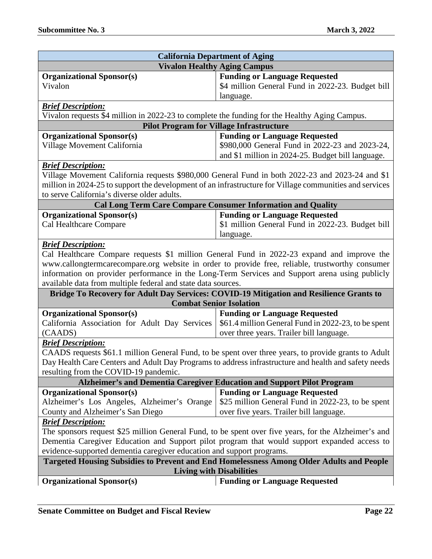| <b>California Department of Aging</b>                                                                                       |                                                                                                         |  |
|-----------------------------------------------------------------------------------------------------------------------------|---------------------------------------------------------------------------------------------------------|--|
| <b>Vivalon Healthy Aging Campus</b>                                                                                         |                                                                                                         |  |
| <b>Organizational Sponsor(s)</b>                                                                                            | <b>Funding or Language Requested</b>                                                                    |  |
| Vivalon                                                                                                                     | \$4 million General Fund in 2022-23. Budget bill                                                        |  |
|                                                                                                                             | language.                                                                                               |  |
| <b>Brief Description:</b>                                                                                                   |                                                                                                         |  |
| Vivalon requests \$4 million in 2022-23 to complete the funding for the Healthy Aging Campus.                               |                                                                                                         |  |
| <b>Pilot Program for Village Infrastructure</b>                                                                             |                                                                                                         |  |
| <b>Organizational Sponsor(s)</b>                                                                                            | <b>Funding or Language Requested</b>                                                                    |  |
| Village Movement California                                                                                                 | \$980,000 General Fund in 2022-23 and 2023-24,                                                          |  |
|                                                                                                                             | and \$1 million in 2024-25. Budget bill language.                                                       |  |
| <b>Brief Description:</b>                                                                                                   |                                                                                                         |  |
|                                                                                                                             | Village Movement California requests \$980,000 General Fund in both 2022-23 and 2023-24 and \$1         |  |
|                                                                                                                             | million in 2024-25 to support the development of an infrastructure for Village communities and services |  |
| to serve California's diverse older adults.                                                                                 |                                                                                                         |  |
|                                                                                                                             | <b>Cal Long Term Care Compare Consumer Information and Quality</b>                                      |  |
| <b>Organizational Sponsor(s)</b>                                                                                            | <b>Funding or Language Requested</b>                                                                    |  |
| Cal Healthcare Compare                                                                                                      | \$1 million General Fund in 2022-23. Budget bill                                                        |  |
|                                                                                                                             | language.                                                                                               |  |
| <b>Brief Description:</b>                                                                                                   |                                                                                                         |  |
|                                                                                                                             | Cal Healthcare Compare requests \$1 million General Fund in 2022-23 expand and improve the              |  |
|                                                                                                                             | www.callongtermcarecompare.org website in order to provide free, reliable, trustworthy consumer         |  |
|                                                                                                                             | information on provider performance in the Long-Term Services and Support arena using publicly          |  |
| available data from multiple federal and state data sources.                                                                |                                                                                                         |  |
|                                                                                                                             | Bridge To Recovery for Adult Day Services: COVID-19 Mitigation and Resilience Grants to                 |  |
| <b>Combat Senior Isolation</b>                                                                                              |                                                                                                         |  |
| <b>Organizational Sponsor(s)</b>                                                                                            | <b>Funding or Language Requested</b>                                                                    |  |
| California Association for Adult Day Services                                                                               | \$61.4 million General Fund in 2022-23, to be spent                                                     |  |
| (CAADS)                                                                                                                     | over three years. Trailer bill language.                                                                |  |
| <b>Brief Description:</b>                                                                                                   |                                                                                                         |  |
| CAADS requests \$61.1 million General Fund, to be spent over three years, to provide grants to Adult                        |                                                                                                         |  |
|                                                                                                                             | Day Health Care Centers and Adult Day Programs to address infrastructure and health and safety needs    |  |
| resulting from the COVID-19 pandemic.                                                                                       |                                                                                                         |  |
|                                                                                                                             | Alzheimer's and Dementia Caregiver Education and Support Pilot Program                                  |  |
| <b>Organizational Sponsor(s)</b>                                                                                            | <b>Funding or Language Requested</b>                                                                    |  |
| Alzheimer's Los Angeles, Alzheimer's Orange                                                                                 | \$25 million General Fund in 2022-23, to be spent                                                       |  |
| County and Alzheimer's San Diego                                                                                            | over five years. Trailer bill language.                                                                 |  |
| <b>Brief Description:</b>                                                                                                   |                                                                                                         |  |
|                                                                                                                             | The sponsors request \$25 million General Fund, to be spent over five years, for the Alzheimer's and    |  |
|                                                                                                                             | Dementia Caregiver Education and Support pilot program that would support expanded access to            |  |
| evidence-supported dementia caregiver education and support programs.                                                       |                                                                                                         |  |
| Targeted Housing Subsidies to Prevent and End Homelessness Among Older Adults and People<br><b>Living with Disabilities</b> |                                                                                                         |  |
| <b>Organizational Sponsor(s)</b>                                                                                            | <b>Funding or Language Requested</b>                                                                    |  |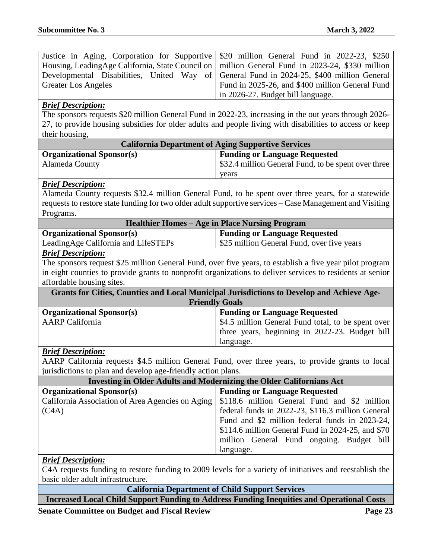| Justice in Aging, Corporation for Supportive \$20 million General Fund in 2022-23, \$250          |                                                 |
|---------------------------------------------------------------------------------------------------|-------------------------------------------------|
| Housing, LeadingAge California, State Council on   million General Fund in 2023-24, \$330 million |                                                 |
| Developmental Disabilities, United Way of General Fund in 2024-25, \$400 million General          |                                                 |
| <b>Greater Los Angeles</b>                                                                        | Fund in 2025-26, and \$400 million General Fund |
|                                                                                                   | $\vert$ in 2026-27. Budget bill language.       |

#### *Brief Description:*

The sponsors requests \$20 million General Fund in 2022-23, increasing in the out years through 2026- 27, to provide housing subsidies for older adults and people living with disabilities to access or keep their housing,

| <b>California Department of Aging Supportive Services</b> |                                                     |
|-----------------------------------------------------------|-----------------------------------------------------|
| <b>Organizational Sponsor(s)</b>                          | <b>Funding or Language Requested</b>                |
| Alameda County                                            | \$32.4 million General Fund, to be spent over three |
|                                                           | years                                               |

#### *Brief Description:*

Alameda County requests \$32.4 million General Fund, to be spent over three years, for a statewide requests to restore state funding for two older adult supportive services – Case Management and Visiting Programs.

| <b>Healthier Homes – Age in Place Nursing Program</b> |                                            |
|-------------------------------------------------------|--------------------------------------------|
| <b>Organizational Sponsor(s)</b>                      | <b>Funding or Language Requested</b>       |
| LeadingAge California and LifeSTEPs                   | \$25 million General Fund, over five years |

#### *Brief Description:*

The sponsors request \$25 million General Fund, over five years, to establish a five year pilot program in eight counties to provide grants to nonprofit organizations to deliver services to residents at senior affordable housing sites.

| <b>Grants for Cities, Counties and Local Municipal Jurisdictions to Develop and Achieve Age-</b> |                                                    |
|--------------------------------------------------------------------------------------------------|----------------------------------------------------|
| <b>Friendly Goals</b>                                                                            |                                                    |
| <b>Organizational Sponsor(s)</b>                                                                 | <b>Funding or Language Requested</b>               |
| <b>AARP</b> California                                                                           | \$4.5 million General Fund total, to be spent over |
|                                                                                                  | three years, beginning in 2022-23. Budget bill     |
|                                                                                                  | language.                                          |

#### *Brief Description:*

AARP California requests \$4.5 million General Fund, over three years, to provide grants to local jurisdictions to plan and develop age-friendly action plans.

| Investing in Older Adults and Modernizing the Older Californians Act |                                                    |
|----------------------------------------------------------------------|----------------------------------------------------|
| <b>Organizational Sponsor(s)</b>                                     | <b>Funding or Language Requested</b>               |
|                                                                      |                                                    |
| (C4A)                                                                | federal funds in 2022-23, \$116.3 million General  |
|                                                                      | Fund and \$2 million federal funds in 2023-24,     |
|                                                                      | $$114.6$ million General Fund in 2024-25, and \$70 |
|                                                                      | million General Fund ongoing. Budget bill          |
|                                                                      | language.                                          |

#### *Brief Description:*

C4A requests funding to restore funding to 2009 levels for a variety of initiatives and reestablish the basic older adult infrastructure.

**California Department of Child Support Services**

**Increased Local Child Support Funding to Address Funding Inequities and Operational Costs**

**Senate Committee on Budget and Fiscal Review Page 23**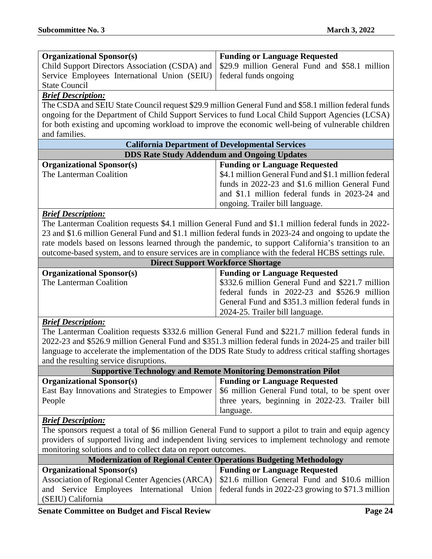| <b>Organizational Sponsor(s)</b>                                  | <b>Funding or Language Requested</b>                                                         |
|-------------------------------------------------------------------|----------------------------------------------------------------------------------------------|
|                                                                   | Child Support Directors Association (CSDA) and 529.9 million General Fund and \$58.1 million |
| Service Employees International Union (SEIU) ederal funds ongoing |                                                                                              |
| <b>State Council</b>                                              |                                                                                              |

#### *Brief Description:*

The CSDA and SEIU State Council request \$29.9 million General Fund and \$58.1 million federal funds ongoing for the Department of Child Support Services to fund Local Child Support Agencies (LCSA) for both existing and upcoming workload to improve the economic well-being of vulnerable children and families.

| <b>California Department of Developmental Services</b> |                                                      |
|--------------------------------------------------------|------------------------------------------------------|
| <b>DDS Rate Study Addendum and Ongoing Updates</b>     |                                                      |
| <b>Organizational Sponsor(s)</b>                       | <b>Funding or Language Requested</b>                 |
| The Lanterman Coalition                                | \$4.1 million General Fund and \$1.1 million federal |
|                                                        | funds in 2022-23 and \$1.6 million General Fund      |
|                                                        | and \$1.1 million federal funds in 2023-24 and       |
|                                                        | ongoing. Trailer bill language.                      |

#### *Brief Description:*

The Lanterman Coalition requests \$4.1 million General Fund and \$1.1 million federal funds in 2022- 23 and \$1.6 million General Fund and \$1.1 million federal funds in 2023-24 and ongoing to update the rate models based on lessons learned through the pandemic, to support California's transition to an outcome-based system, and to ensure services are in compliance with the federal HCBS settings rule.

| <b>Direct Support Workforce Shortage</b> |                                                   |
|------------------------------------------|---------------------------------------------------|
| <b>Organizational Sponsor(s)</b>         | <b>Funding or Language Requested</b>              |
| The Lanterman Coalition                  | \$332.6 million General Fund and \$221.7 million  |
|                                          | federal funds in 2022-23 and \$526.9 million      |
|                                          | General Fund and \$351.3 million federal funds in |
|                                          | 2024-25. Trailer bill language.                   |

#### *Brief Description:*

The Lanterman Coalition requests \$332.6 million General Fund and \$221.7 million federal funds in 2022-23 and \$526.9 million General Fund and \$351.3 million federal funds in 2024-25 and trailer bill language to accelerate the implementation of the DDS Rate Study to address critical staffing shortages and the resulting service disruptions.

| <b>Supportive Technology and Remote Monitoring Demonstration Pilot</b> |                                                 |
|------------------------------------------------------------------------|-------------------------------------------------|
| <b>Organizational Sponsor(s)</b>                                       | <b>Funding or Language Requested</b>            |
|                                                                        |                                                 |
| People                                                                 | three years, beginning in 2022-23. Trailer bill |
|                                                                        | language.                                       |

#### *Brief Description:*

The sponsors request a total of \$6 million General Fund to support a pilot to train and equip agency providers of supported living and independent living services to implement technology and remote monitoring solutions and to collect data on report outcomes.

| <b>Modernization of Regional Center Operations Budgeting Methodology</b> |                                                                                                 |
|--------------------------------------------------------------------------|-------------------------------------------------------------------------------------------------|
| <b>Organizational Sponsor(s)</b>                                         | <b>Funding or Language Requested</b>                                                            |
|                                                                          | Association of Regional Center Agencies (ARCA)   \$21.6 million General Fund and \$10.6 million |
|                                                                          | and Service Employees International Union federal funds in 2022-23 growing to \$71.3 million    |
| (SEIU) California                                                        |                                                                                                 |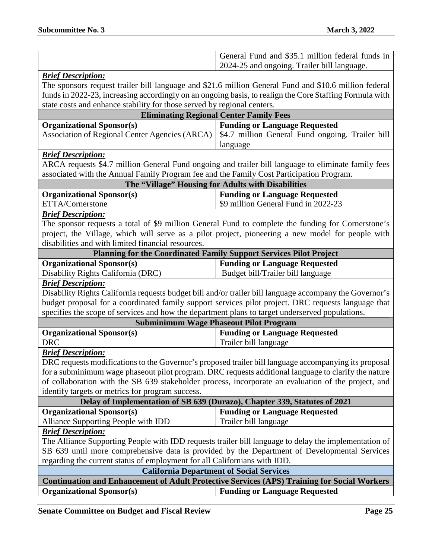|                                                                                                       | General Fund and \$35.1 million federal funds in<br>2024-25 and ongoing. Trailer bill language.         |  |
|-------------------------------------------------------------------------------------------------------|---------------------------------------------------------------------------------------------------------|--|
| <b>Brief Description:</b>                                                                             |                                                                                                         |  |
|                                                                                                       | The sponsors request trailer bill language and \$21.6 million General Fund and \$10.6 million federal   |  |
|                                                                                                       | funds in 2022-23, increasing accordingly on an ongoing basis, to realign the Core Staffing Formula with |  |
| state costs and enhance stability for those served by regional centers.                               |                                                                                                         |  |
|                                                                                                       | <b>Eliminating Regional Center Family Fees</b>                                                          |  |
| <b>Organizational Sponsor(s)</b>                                                                      | <b>Funding or Language Requested</b>                                                                    |  |
| Association of Regional Center Agencies (ARCA)                                                        | \$4.7 million General Fund ongoing. Trailer bill                                                        |  |
|                                                                                                       | language                                                                                                |  |
| <b>Brief Description:</b>                                                                             |                                                                                                         |  |
|                                                                                                       | ARCA requests \$4.7 million General Fund ongoing and trailer bill language to eliminate family fees     |  |
| associated with the Annual Family Program fee and the Family Cost Participation Program.              |                                                                                                         |  |
|                                                                                                       | The "Village" Housing for Adults with Disabilities                                                      |  |
| <b>Organizational Sponsor(s)</b>                                                                      | <b>Funding or Language Requested</b>                                                                    |  |
| ETTA/Cornerstone                                                                                      | \$9 million General Fund in 2022-23                                                                     |  |
| <b>Brief Description:</b>                                                                             |                                                                                                         |  |
|                                                                                                       | The sponsor requests a total of \$9 million General Fund to complete the funding for Cornerstone's      |  |
|                                                                                                       | project, the Village, which will serve as a pilot project, pioneering a new model for people with       |  |
| disabilities and with limited financial resources.                                                    |                                                                                                         |  |
|                                                                                                       | Planning for the Coordinated Family Support Services Pilot Project                                      |  |
| <b>Organizational Sponsor(s)</b>                                                                      | <b>Funding or Language Requested</b>                                                                    |  |
| Disability Rights California (DRC)                                                                    | Budget bill/Trailer bill language                                                                       |  |
| <b>Brief Description:</b>                                                                             |                                                                                                         |  |
|                                                                                                       | Disability Rights California requests budget bill and/or trailer bill language accompany the Governor's |  |
|                                                                                                       | budget proposal for a coordinated family support services pilot project. DRC requests language that     |  |
| specifies the scope of services and how the department plans to target underserved populations.       |                                                                                                         |  |
|                                                                                                       | <b>Subminimum Wage Phaseout Pilot Program</b>                                                           |  |
| <b>Organizational Sponsor(s)</b>                                                                      | <b>Funding or Language Requested</b>                                                                    |  |
| <b>DRC</b>                                                                                            | Trailer bill language                                                                                   |  |
| <b>Brief Description:</b>                                                                             |                                                                                                         |  |
|                                                                                                       | DRC requests modifications to the Governor's proposed trailer bill language accompanying its proposal   |  |
| for a subminimum wage phaseout pilot program. DRC requests additional language to clarify the nature  |                                                                                                         |  |
| of collaboration with the SB 639 stakeholder process, incorporate an evaluation of the project, and   |                                                                                                         |  |
| identify targets or metrics for program success.                                                      |                                                                                                         |  |
| Delay of Implementation of SB 639 (Durazo), Chapter 339, Statutes of 2021                             |                                                                                                         |  |
| <b>Organizational Sponsor(s)</b>                                                                      | <b>Funding or Language Requested</b>                                                                    |  |
| Alliance Supporting People with IDD                                                                   | Trailer bill language                                                                                   |  |
| <b>Brief Description:</b>                                                                             |                                                                                                         |  |
| The Alliance Supporting People with IDD requests trailer bill language to delay the implementation of |                                                                                                         |  |
| SB 639 until more comprehensive data is provided by the Department of Developmental Services          |                                                                                                         |  |
| regarding the current status of employment for all Californians with IDD.                             |                                                                                                         |  |
| <b>California Department of Social Services</b>                                                       |                                                                                                         |  |
| <b>Continuation and Enhancement of Adult Protective Services (APS) Training for Social Workers</b>    |                                                                                                         |  |
| <b>Organizational Sponsor(s)</b>                                                                      | <b>Funding or Language Requested</b>                                                                    |  |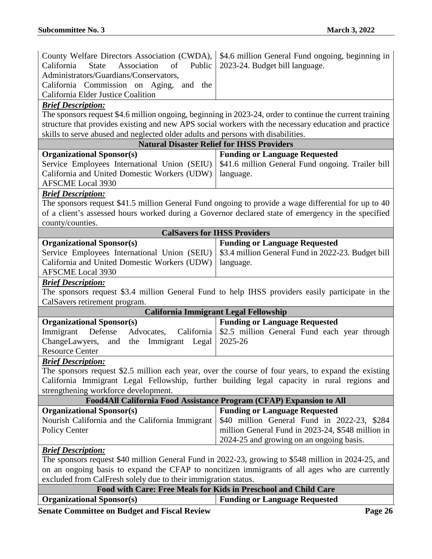| County Welfare Directors Association (CWDA),                                                        | \$4.6 million General Fund ongoing, beginning in                                                                                                                                                                  |  |
|-----------------------------------------------------------------------------------------------------|-------------------------------------------------------------------------------------------------------------------------------------------------------------------------------------------------------------------|--|
| Association<br>California<br><b>State</b><br>of<br>Public                                           | 2023-24. Budget bill language.                                                                                                                                                                                    |  |
| Administrators/Guardians/Conservators,                                                              |                                                                                                                                                                                                                   |  |
| California Commission on Aging, and the                                                             |                                                                                                                                                                                                                   |  |
| California Elder Justice Coalition                                                                  |                                                                                                                                                                                                                   |  |
| <b>Brief Description:</b>                                                                           |                                                                                                                                                                                                                   |  |
|                                                                                                     | The sponsors request \$4.6 million ongoing, beginning in 2023-24, order to continue the current training<br>structure that provides existing and new APS social workers with the necessary education and practice |  |
| skills to serve abused and neglected older adults and persons with disabilities.                    |                                                                                                                                                                                                                   |  |
|                                                                                                     | <b>Natural Disaster Relief for IHSS Providers</b>                                                                                                                                                                 |  |
| <b>Organizational Sponsor(s)</b>                                                                    | <b>Funding or Language Requested</b>                                                                                                                                                                              |  |
| Service Employees International Union (SEIU)                                                        | \$41.6 million General Fund ongoing. Trailer bill                                                                                                                                                                 |  |
| California and United Domestic Workers (UDW)                                                        | language.                                                                                                                                                                                                         |  |
| <b>AFSCME</b> Local 3930                                                                            |                                                                                                                                                                                                                   |  |
| <b>Brief Description:</b>                                                                           |                                                                                                                                                                                                                   |  |
|                                                                                                     | The sponsors request \$41.5 million General Fund ongoing to provide a wage differential for up to 40                                                                                                              |  |
|                                                                                                     | of a client's assessed hours worked during a Governor declared state of emergency in the specified                                                                                                                |  |
| county/counties.                                                                                    |                                                                                                                                                                                                                   |  |
|                                                                                                     | <b>CalSavers for IHSS Providers</b>                                                                                                                                                                               |  |
| <b>Organizational Sponsor(s)</b>                                                                    | <b>Funding or Language Requested</b>                                                                                                                                                                              |  |
| Service Employees International Union (SEIU)                                                        | \$3.4 million General Fund in 2022-23. Budget bill                                                                                                                                                                |  |
| California and United Domestic Workers (UDW)                                                        | language.                                                                                                                                                                                                         |  |
| <b>AFSCME</b> Local 3930                                                                            |                                                                                                                                                                                                                   |  |
| <b>Brief Description:</b>                                                                           |                                                                                                                                                                                                                   |  |
| The sponsors request \$3.4 million General Fund to help IHSS providers easily participate in the    |                                                                                                                                                                                                                   |  |
| CalSavers retirement program.                                                                       |                                                                                                                                                                                                                   |  |
|                                                                                                     | California Immigrant Legal Fellowship                                                                                                                                                                             |  |
| <b>Organizational Sponsor(s)</b>                                                                    | <b>Funding or Language Requested</b>                                                                                                                                                                              |  |
| Immigrant<br>Defense<br>Advocates,<br>California                                                    | \$2.5 million General Fund each year through                                                                                                                                                                      |  |
| ChangeLawyers,<br>Immigrant Legal<br>and the                                                        | 2025-26                                                                                                                                                                                                           |  |
| <b>Resource Center</b>                                                                              |                                                                                                                                                                                                                   |  |
| <b>Brief Description:</b>                                                                           |                                                                                                                                                                                                                   |  |
|                                                                                                     | The sponsors request \$2.5 million each year, over the course of four years, to expand the existing                                                                                                               |  |
|                                                                                                     | California Immigrant Legal Fellowship, further building legal capacity in rural regions and                                                                                                                       |  |
| strengthening workforce development.                                                                |                                                                                                                                                                                                                   |  |
| Food4All California Food Assistance Program (CFAP) Expansion to All                                 |                                                                                                                                                                                                                   |  |
| <b>Organizational Sponsor(s)</b>                                                                    | <b>Funding or Language Requested</b>                                                                                                                                                                              |  |
| Nourish California and the California Immigrant                                                     | \$40 million General Fund in 2022-23, \$284                                                                                                                                                                       |  |
| <b>Policy Center</b>                                                                                | million General Fund in 2023-24, \$548 million in                                                                                                                                                                 |  |
|                                                                                                     | 2024-25 and growing on an ongoing basis.                                                                                                                                                                          |  |
| <b>Brief Description:</b>                                                                           |                                                                                                                                                                                                                   |  |
| The sponsors request \$40 million General Fund in 2022-23, growing to \$548 million in 2024-25, and |                                                                                                                                                                                                                   |  |
|                                                                                                     | on an ongoing basis to expand the CFAP to noncitizen immigrants of all ages who are currently                                                                                                                     |  |
| excluded from CalFresh solely due to their immigration status.                                      |                                                                                                                                                                                                                   |  |
| Food with Care: Free Meals for Kids in Preschool and Child Care                                     |                                                                                                                                                                                                                   |  |

| Organizational Sponsor(s) | <b>Funding or Language Requested</b> |
|---------------------------|--------------------------------------|
|                           |                                      |

**Senate Committee on Budget and Fiscal Review <b>Page 26 Page 26**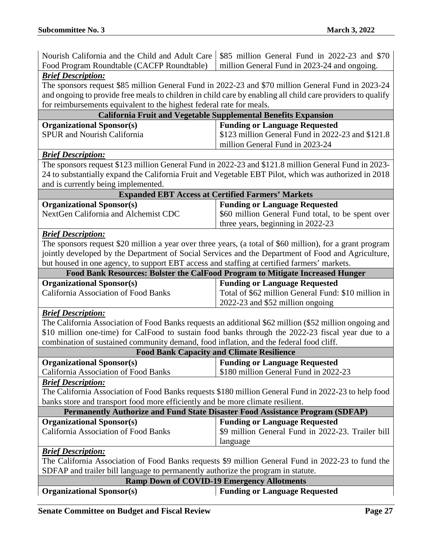| Nourish California and the Child and Adult Care                                             | \$85 million General Fund in 2022-23 and \$70                                                               |  |
|---------------------------------------------------------------------------------------------|-------------------------------------------------------------------------------------------------------------|--|
| Food Program Roundtable (CACFP Roundtable)                                                  | million General Fund in 2023-24 and ongoing.                                                                |  |
| <b>Brief Description:</b>                                                                   |                                                                                                             |  |
|                                                                                             | The sponsors request \$85 million General Fund in 2022-23 and \$70 million General Fund in 2023-24          |  |
|                                                                                             | and ongoing to provide free meals to children in child care by enabling all child care providers to qualify |  |
| for reimbursements equivalent to the highest federal rate for meals.                        |                                                                                                             |  |
|                                                                                             | California Fruit and Vegetable Supplemental Benefits Expansion                                              |  |
| <b>Organizational Sponsor(s)</b>                                                            | <b>Funding or Language Requested</b>                                                                        |  |
| <b>SPUR</b> and Nourish California                                                          | \$123 million General Fund in 2022-23 and \$121.8                                                           |  |
|                                                                                             | million General Fund in 2023-24                                                                             |  |
| <b>Brief Description:</b>                                                                   |                                                                                                             |  |
|                                                                                             | The sponsors request \$123 million General Fund in 2022-23 and \$121.8 million General Fund in 2023-        |  |
|                                                                                             | 24 to substantially expand the California Fruit and Vegetable EBT Pilot, which was authorized in 2018       |  |
| and is currently being implemented.                                                         |                                                                                                             |  |
|                                                                                             | <b>Expanded EBT Access at Certified Farmers' Markets</b>                                                    |  |
| <b>Organizational Sponsor(s)</b>                                                            | <b>Funding or Language Requested</b>                                                                        |  |
| NextGen California and Alchemist CDC                                                        | \$60 million General Fund total, to be spent over                                                           |  |
|                                                                                             | three years, beginning in 2022-23                                                                           |  |
| <b>Brief Description:</b>                                                                   |                                                                                                             |  |
|                                                                                             | The sponsors request \$20 million a year over three years, (a total of \$60 million), for a grant program   |  |
|                                                                                             | jointly developed by the Department of Social Services and the Department of Food and Agriculture,          |  |
| but housed in one agency, to support EBT access and staffing at certified farmers' markets. |                                                                                                             |  |
| Food Bank Resources: Bolster the CalFood Program to Mitigate Increased Hunger               |                                                                                                             |  |
|                                                                                             |                                                                                                             |  |
| <b>Organizational Sponsor(s)</b>                                                            | <b>Funding or Language Requested</b>                                                                        |  |
| <b>California Association of Food Banks</b>                                                 | Total of \$62 million General Fund: \$10 million in                                                         |  |
|                                                                                             | 2022-23 and \$52 million ongoing                                                                            |  |
| <b>Brief Description:</b>                                                                   |                                                                                                             |  |
|                                                                                             | The California Association of Food Banks requests an additional \$62 million (\$52 million ongoing and      |  |
|                                                                                             | \$10 million one-time) for CalFood to sustain food banks through the 2022-23 fiscal year due to a           |  |
| combination of sustained community demand, food inflation, and the federal food cliff.      |                                                                                                             |  |
|                                                                                             | <b>Food Bank Capacity and Climate Resilience</b>                                                            |  |
| <b>Organizational Sponsor(s)</b>                                                            | <b>Funding or Language Requested</b>                                                                        |  |
| California Association of Food Banks                                                        | \$180 million General Fund in 2022-23                                                                       |  |
| <b>Brief Description:</b>                                                                   |                                                                                                             |  |
|                                                                                             | The California Association of Food Banks requests \$180 million General Fund in 2022-23 to help food        |  |
| banks store and transport food more efficiently and be more climate resilient.              |                                                                                                             |  |
|                                                                                             | Permanently Authorize and Fund State Disaster Food Assistance Program (SDFAP)                               |  |
| <b>Organizational Sponsor(s)</b>                                                            | <b>Funding or Language Requested</b>                                                                        |  |
| <b>California Association of Food Banks</b>                                                 | \$9 million General Fund in 2022-23. Trailer bill                                                           |  |
|                                                                                             | language                                                                                                    |  |
| <b>Brief Description:</b>                                                                   |                                                                                                             |  |
|                                                                                             | The California Association of Food Banks requests \$9 million General Fund in 2022-23 to fund the           |  |
| SDFAP and trailer bill language to permanently authorize the program in statute.            |                                                                                                             |  |
| <b>Organizational Sponsor(s)</b>                                                            | <b>Ramp Down of COVID-19 Emergency Allotments</b><br><b>Funding or Language Requested</b>                   |  |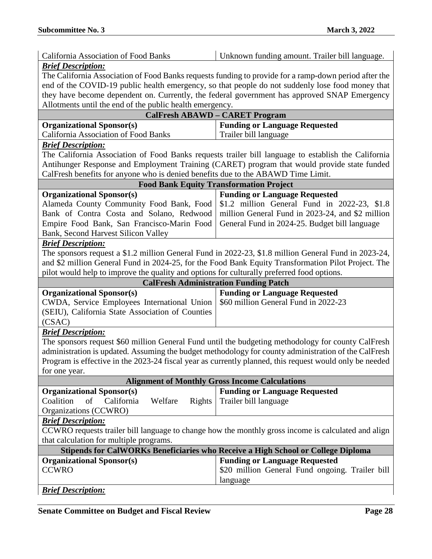| <b>California Association of Food Banks</b>                                                 | Unknown funding amount. Trailer bill language.                                                          |  |
|---------------------------------------------------------------------------------------------|---------------------------------------------------------------------------------------------------------|--|
| <b>Brief Description:</b>                                                                   |                                                                                                         |  |
|                                                                                             | The California Association of Food Banks requests funding to provide for a ramp-down period after the   |  |
|                                                                                             | end of the COVID-19 public health emergency, so that people do not suddenly lose food money that        |  |
|                                                                                             | they have become dependent on. Currently, the federal government has approved SNAP Emergency            |  |
| Allotments until the end of the public health emergency.                                    |                                                                                                         |  |
| <b>CalFresh ABAWD - CARET Program</b>                                                       |                                                                                                         |  |
| <b>Organizational Sponsor(s)</b>                                                            | <b>Funding or Language Requested</b>                                                                    |  |
| California Association of Food Banks                                                        | Trailer bill language                                                                                   |  |
| <b>Brief Description:</b>                                                                   |                                                                                                         |  |
|                                                                                             | The California Association of Food Banks requests trailer bill language to establish the California     |  |
| Antihunger Response and Employment Training (CARET) program that would provide state funded |                                                                                                         |  |
| CalFresh benefits for anyone who is denied benefits due to the ABAWD Time Limit.            |                                                                                                         |  |
|                                                                                             | <b>Food Bank Equity Transformation Project</b>                                                          |  |
| <b>Organizational Sponsor(s)</b>                                                            | <b>Funding or Language Requested</b>                                                                    |  |
| Alameda County Community Food Bank, Food                                                    | \$1.2 million General Fund in 2022-23, \$1.8                                                            |  |
| Bank of Contra Costa and Solano, Redwood                                                    | million General Fund in 2023-24, and \$2 million                                                        |  |
| Empire Food Bank, San Francisco-Marin Food                                                  | General Fund in 2024-25. Budget bill language                                                           |  |
| Bank, Second Harvest Silicon Valley                                                         |                                                                                                         |  |
| <b>Brief Description:</b>                                                                   |                                                                                                         |  |
|                                                                                             | The sponsors request a \$1.2 million General Fund in 2022-23, \$1.8 million General Fund in 2023-24,    |  |
|                                                                                             | and \$2 million General Fund in 2024-25, for the Food Bank Equity Transformation Pilot Project. The     |  |
| pilot would help to improve the quality and options for culturally preferred food options.  |                                                                                                         |  |
|                                                                                             | <b>CalFresh Administration Funding Patch</b>                                                            |  |
| <b>Organizational Sponsor(s)</b>                                                            | <b>Funding or Language Requested</b>                                                                    |  |
| CWDA, Service Employees International Union                                                 | \$60 million General Fund in 2022-23                                                                    |  |
| (SEIU), California State Association of Counties                                            |                                                                                                         |  |
| (CSAC)                                                                                      |                                                                                                         |  |
| <b>Brief Description:</b>                                                                   |                                                                                                         |  |
|                                                                                             | The sponsors request \$60 million General Fund until the budgeting methodology for county CalFresh      |  |
|                                                                                             | administration is updated. Assuming the budget methodology for county administration of the CalFresh    |  |
|                                                                                             | Program is effective in the 2023-24 fiscal year as currently planned, this request would only be needed |  |
| for one year.                                                                               |                                                                                                         |  |
| <b>Alignment of Monthly Gross Income Calculations</b>                                       |                                                                                                         |  |
| <b>Organizational Sponsor(s)</b>                                                            | <b>Funding or Language Requested</b>                                                                    |  |
| Coalition<br>of<br>California<br>Welfare<br>Rights                                          | Trailer bill language                                                                                   |  |
| Organizations (CCWRO)                                                                       |                                                                                                         |  |
| <b>Brief Description:</b>                                                                   |                                                                                                         |  |
|                                                                                             | CCWRO requests trailer bill language to change how the monthly gross income is calculated and align     |  |
| that calculation for multiple programs.                                                     |                                                                                                         |  |
| Stipends for CalWORKs Beneficiaries who Receive a High School or College Diploma            |                                                                                                         |  |
| <b>Organizational Sponsor(s)</b>                                                            | <b>Funding or Language Requested</b>                                                                    |  |
| <b>CCWRO</b>                                                                                | \$20 million General Fund ongoing. Trailer bill                                                         |  |
|                                                                                             | language                                                                                                |  |
| <b>Brief Description:</b>                                                                   |                                                                                                         |  |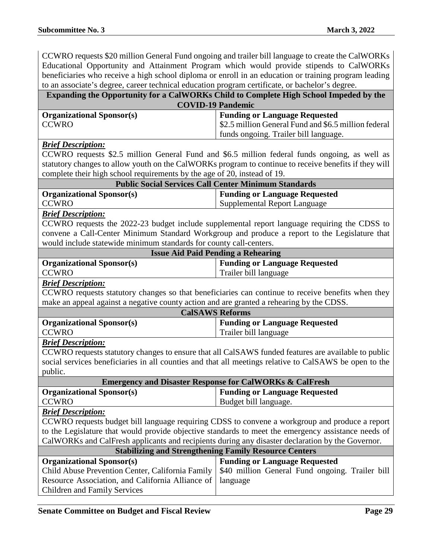CCWRO requests \$20 million General Fund ongoing and trailer bill language to create the CalWORKs Educational Opportunity and Attainment Program which would provide stipends to CalWORKs beneficiaries who receive a high school diploma or enroll in an education or training program leading to an associate's degree, career technical education program certificate, or bachelor's degree.

## **Expanding the Opportunity for a CalWORKs Child to Complete High School Impeded by the COVID-19 Pandemic**

| <b>Organizational Sponsor(s)</b> | <b>Funding or Language Requested</b>                |
|----------------------------------|-----------------------------------------------------|
| <b>CCWRO</b>                     | S2.5 million General Fund and \$6.5 million federal |
|                                  | funds ongoing. Trailer bill language.               |

#### *Brief Description:*

CCWRO requests \$2.5 million General Fund and \$6.5 million federal funds ongoing, as well as statutory changes to allow youth on the CalWORKs program to continue to receive benefits if they will complete their high school requirements by the age of 20, instead of 19.

| <b>Public Social Services Call Center Minimum Standards</b> |                               |
|-------------------------------------------------------------|-------------------------------|
| <b>Organizational Sponsor(s)</b>                            | Funding or Language Requested |
| <b>CCWRO</b>                                                | Supplemental Report Language  |

#### *Brief Description:*

CCWRO requests the 2022-23 budget include supplemental report language requiring the CDSS to convene a Call-Center Minimum Standard Workgroup and produce a report to the Legislature that would include statewide minimum standards for county call-centers.

| <b>Issue Aid Paid Pending a Rehearing</b> |                                      |
|-------------------------------------------|--------------------------------------|
| <b>Organizational Sponsor(s)</b>          | <b>Funding or Language Requested</b> |
| <b>CCWRO</b>                              | Trailer bill language                |

#### *Brief Description:*

CCWRO requests statutory changes so that beneficiaries can continue to receive benefits when they make an appeal against a negative county action and are granted a rehearing by the CDSS.

| <b>CalSAWS Reforms</b>           |                                      |
|----------------------------------|--------------------------------------|
| <b>Organizational Sponsor(s)</b> | <b>Funding or Language Requested</b> |
| <b>CCWRO</b>                     | Trailer bill language                |

#### *Brief Description:*

CCWRO requests statutory changes to ensure that all CalSAWS funded features are available to public social services beneficiaries in all counties and that all meetings relative to CalSAWS be open to the public.

| <b>Emergency and Disaster Response for CalWORKs &amp; CalFresh</b> |                               |
|--------------------------------------------------------------------|-------------------------------|
| <b>Organizational Sponsor(s)</b>                                   | Funding or Language Requested |
| <b>CCWRO</b>                                                       | Budget bill language.         |

#### *Brief Description:*

CCWRO requests budget bill language requiring CDSS to convene a workgroup and produce a report to the Legislature that would provide objective standards to meet the emergency assistance needs of CalWORKs and CalFresh applicants and recipients during any disaster declaration by the Governor.

| <b>Stabilizing and Strengthening Family Resource Centers</b> |                                                                                                    |
|--------------------------------------------------------------|----------------------------------------------------------------------------------------------------|
| <b>Organizational Sponsor(s)</b>                             | <b>Funding or Language Requested</b>                                                               |
|                                                              | Child Abuse Prevention Center, California Family   \$40 million General Fund ongoing. Trailer bill |
| Resource Association, and California Alliance of   language  |                                                                                                    |
| <b>Children and Family Services</b>                          |                                                                                                    |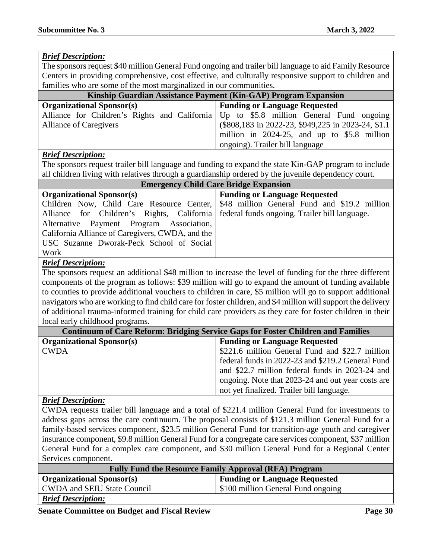#### *Brief Description:* The sponsors request \$40 million General Fund ongoing and trailer bill language to aid Family Resource Centers in providing comprehensive, cost effective, and culturally responsive support to children and families who are some of the most marginalized in our communities. **Kinship Guardian Assistance Payment (Kin-GAP) Program Expansion Organizational Sponsor(s) Funding or Language Requested** Alliance for Children's Rights and California Alliance of Caregivers Up to \$5.8 million General Fund ongoing (\$808,183 in 2022-23, \$949,225 in 2023-24, \$1.1 million in 2024-25, and up to \$5.8 million ongoing). Trailer bill language *Brief Description:* The sponsors request trailer bill language and funding to expand the state Kin-GAP program to include all children living with relatives through a guardianship ordered by the juvenile dependency court. **Emergency Child Care Bridge Expansion Organizational Sponsor(s) Funding or Language Requested** Children Now, Child Care Resource Center, Alliance for Children's Rights, California Alternative Payment Program Association, California Alliance of Caregivers, CWDA, and the USC Suzanne Dworak-Peck School of Social Work \$48 million General Fund and \$19.2 million federal funds ongoing. Trailer bill language. *Brief Description:* The sponsors request an additional \$48 million to increase the level of funding for the three different components of the program as follows: \$39 million will go to expand the amount of funding available

to counties to provide additional vouchers to children in care, \$5 million will go to support additional navigators who are working to find child care for foster children, and \$4 million will support the delivery of additional trauma-informed training for child care providers as they care for foster children in their local early childhood programs.

| <b>Continuum of Care Reform: Bridging Service Gaps for Foster Children and Families</b> |                                                   |
|-----------------------------------------------------------------------------------------|---------------------------------------------------|
| <b>Organizational Sponsor(s)</b>                                                        | <b>Funding or Language Requested</b>              |
| <b>CWDA</b>                                                                             | \$221.6 million General Fund and \$22.7 million   |
|                                                                                         | federal funds in 2022-23 and \$219.2 General Fund |
|                                                                                         | and \$22.7 million federal funds in 2023-24 and   |
|                                                                                         | ongoing. Note that 2023-24 and out year costs are |
|                                                                                         | not yet finalized. Trailer bill language.         |

#### *Brief Description:*

CWDA requests trailer bill language and a total of \$221.4 million General Fund for investments to address gaps across the care continuum. The proposal consists of \$121.3 million General Fund for a family-based services component, \$23.5 million General Fund for transition-age youth and caregiver insurance component, \$9.8 million General Fund for a congregate care services component, \$37 million General Fund for a complex care component, and \$30 million General Fund for a Regional Center Services component.

| <b>Fully Fund the Resource Family Approval (RFA) Program</b> |                                      |
|--------------------------------------------------------------|--------------------------------------|
| <b>Organizational Sponsor(s)</b>                             | <b>Funding or Language Requested</b> |
| <b>CWDA</b> and SEIU State Council                           | \$100 million General Fund ongoing   |
| <b>Brief Description:</b>                                    |                                      |

**Senate Committee on Budget and Fiscal Review Page 30**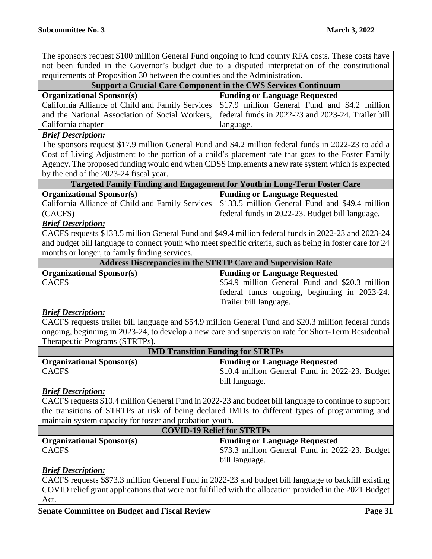The sponsors request \$100 million General Fund ongoing to fund county RFA costs. These costs have not been funded in the Governor's budget due to a disputed interpretation of the constitutional requirements of Proposition 30 between the counties and the Administration.

| requirements of Proposition 50 between the counties and the Administration.                                                                                                                                                                                                                                                                                                           |                                                                                                                                                                  |  |
|---------------------------------------------------------------------------------------------------------------------------------------------------------------------------------------------------------------------------------------------------------------------------------------------------------------------------------------------------------------------------------------|------------------------------------------------------------------------------------------------------------------------------------------------------------------|--|
| <b>Support a Crucial Care Component in the CWS Services Continuum</b>                                                                                                                                                                                                                                                                                                                 |                                                                                                                                                                  |  |
| <b>Organizational Sponsor(s)</b><br>California Alliance of Child and Family Services<br>and the National Association of Social Workers,<br>California chapter                                                                                                                                                                                                                         | <b>Funding or Language Requested</b><br>\$17.9 million General Fund and \$4.2 million<br>federal funds in 2022-23 and 2023-24. Trailer bill<br>language.         |  |
| <b>Brief Description:</b><br>The sponsors request \$17.9 million General Fund and \$4.2 million federal funds in 2022-23 to add a<br>Cost of Living Adjustment to the portion of a child's placement rate that goes to the Foster Family<br>Agency. The proposed funding would end when CDSS implements a new rate system which is expected<br>by the end of the 2023-24 fiscal year. |                                                                                                                                                                  |  |
| Targeted Family Finding and Engagement for Youth in Long-Term Foster Care                                                                                                                                                                                                                                                                                                             |                                                                                                                                                                  |  |
| <b>Organizational Sponsor(s)</b><br>California Alliance of Child and Family Services<br>(CACFS)                                                                                                                                                                                                                                                                                       | <b>Funding or Language Requested</b><br>\$133.5 million General Fund and \$49.4 million<br>federal funds in 2022-23. Budget bill language.                       |  |
| <b>Brief Description:</b><br>CACFS requests \$133.5 million General Fund and \$49.4 million federal funds in 2022-23 and 2023-24<br>and budget bill language to connect youth who meet specific criteria, such as being in foster care for 24<br>months or longer, to family finding services.                                                                                        |                                                                                                                                                                  |  |
| <b>Address Discrepancies in the STRTP Care and Supervision Rate</b>                                                                                                                                                                                                                                                                                                                   |                                                                                                                                                                  |  |
| <b>Organizational Sponsor(s)</b><br><b>CACFS</b>                                                                                                                                                                                                                                                                                                                                      | <b>Funding or Language Requested</b><br>\$54.9 million General Fund and \$20.3 million<br>federal funds ongoing, beginning in 2023-24.<br>Trailer bill language. |  |
| <b>Brief Description:</b><br>CACFS requests trailer bill language and \$54.9 million General Fund and \$20.3 million federal funds<br>ongoing, beginning in 2023-24, to develop a new care and supervision rate for Short-Term Residential<br>Therapeutic Programs (STRTPs).                                                                                                          |                                                                                                                                                                  |  |
| <b>IMD Transition Funding for STRTPs</b>                                                                                                                                                                                                                                                                                                                                              |                                                                                                                                                                  |  |
| <b>Organizational Sponsor(s)</b><br><b>CACFS</b>                                                                                                                                                                                                                                                                                                                                      | <b>Funding or Language Requested</b><br>\$10.4 million General Fund in 2022-23. Budget<br>bill language.                                                         |  |
| <u><b>Brief Description:</b></u><br>CACFS requests \$10.4 million General Fund in 2022-23 and budget bill language to continue to support<br>the transitions of STRTPs at risk of being declared IMDs to different types of programming and<br>maintain system capacity for foster and probation youth.                                                                               |                                                                                                                                                                  |  |
| <b>COVID-19 Relief for STRTPs</b>                                                                                                                                                                                                                                                                                                                                                     |                                                                                                                                                                  |  |
| <b>Organizational Sponsor(s)</b><br><b>CACFS</b>                                                                                                                                                                                                                                                                                                                                      | <b>Funding or Language Requested</b><br>\$73.3 million General Fund in 2022-23. Budget<br>bill language.                                                         |  |
| <b>Brief Description:</b>                                                                                                                                                                                                                                                                                                                                                             |                                                                                                                                                                  |  |
| CACFS requests \$\$73.3 million General Fund in 2022-23 and budget bill language to backfill existing<br>COVID relief grant applications that were not fulfilled with the allocation provided in the 2021 Budget                                                                                                                                                                      |                                                                                                                                                                  |  |

Act.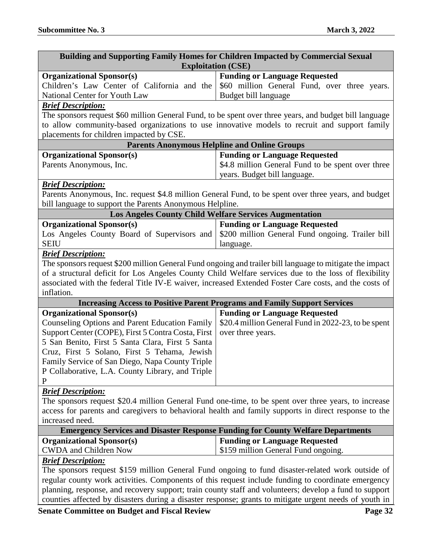| Building and Supporting Family Homes for Children Impacted by Commercial Sexual                          |                                                     |
|----------------------------------------------------------------------------------------------------------|-----------------------------------------------------|
| <b>Exploitation (CSE)</b>                                                                                |                                                     |
| <b>Organizational Sponsor(s)</b>                                                                         | <b>Funding or Language Requested</b>                |
| Children's Law Center of California and the                                                              | \$60 million General Fund, over three years.        |
| National Center for Youth Law                                                                            | Budget bill language                                |
| <b>Brief Description:</b>                                                                                |                                                     |
| The sponsors request \$60 million General Fund, to be spent over three years, and budget bill language   |                                                     |
| to allow community-based organizations to use innovative models to recruit and support family            |                                                     |
| placements for children impacted by CSE.                                                                 |                                                     |
| <b>Parents Anonymous Helpline and Online Groups</b>                                                      |                                                     |
| <b>Organizational Sponsor(s)</b>                                                                         | <b>Funding or Language Requested</b>                |
| Parents Anonymous, Inc.                                                                                  | \$4.8 million General Fund to be spent over three   |
|                                                                                                          | years. Budget bill language.                        |
| <b>Brief Description:</b>                                                                                |                                                     |
| Parents Anonymous, Inc. request \$4.8 million General Fund, to be spent over three years, and budget     |                                                     |
| bill language to support the Parents Anonymous Helpline.                                                 |                                                     |
| <b>Los Angeles County Child Welfare Services Augmentation</b>                                            |                                                     |
| <b>Organizational Sponsor(s)</b>                                                                         | <b>Funding or Language Requested</b>                |
| Los Angeles County Board of Supervisors and                                                              | \$200 million General Fund ongoing. Trailer bill    |
| <b>SEIU</b>                                                                                              | language.                                           |
| <b>Brief Description:</b>                                                                                |                                                     |
| The sponsors request \$200 million General Fund ongoing and trailer bill language to mitigate the impact |                                                     |
| of a structural deficit for Los Angeles County Child Welfare services due to the loss of flexibility     |                                                     |
| associated with the federal Title IV-E waiver, increased Extended Foster Care costs, and the costs of    |                                                     |
| inflation.                                                                                               |                                                     |
| <b>Increasing Access to Positive Parent Programs and Family Support Services</b>                         |                                                     |
| <b>Organizational Sponsor(s)</b>                                                                         | <b>Funding or Language Requested</b>                |
| <b>Counseling Options and Parent Education Family</b>                                                    | \$20.4 million General Fund in 2022-23, to be spent |
| Support Center (COPE), First 5 Contra Costa, First                                                       | over three years.                                   |
| 5 San Benito, First 5 Santa Clara, First 5 Santa<br>Cruz, First 5 Solano, First 5 Tehama, Jewish         |                                                     |
| Family Service of San Diego, Napa County Triple                                                          |                                                     |
| P Collaborative, L.A. County Library, and Triple                                                         |                                                     |
| P                                                                                                        |                                                     |
| <b>Brief Description:</b>                                                                                |                                                     |
| The sponsors request \$20.4 million General Fund one-time, to be spent over three years, to increase     |                                                     |
| access for parents and caregivers to behavioral health and family supports in direct response to the     |                                                     |
| increased need.                                                                                          |                                                     |
| <b>Emergency Services and Disaster Response Funding for County Welfare Departments</b>                   |                                                     |
| <b>Organizational Sponsor(s)</b>                                                                         | <b>Funding or Language Requested</b>                |
| <b>CWDA</b> and Children Now                                                                             | \$159 million General Fund ongoing.                 |
| <b>Brief Description:</b>                                                                                |                                                     |
| The sponsors request \$159 million General Fund ongoing to fund disaster-related work outside of         |                                                     |
| regular county work activities. Components of this request include funding to coordinate emergency       |                                                     |
| planning, response, and recovery support; train county staff and volunteers; develop a fund to support   |                                                     |
| counties affected by disasters during a disaster response; grants to mitigate urgent needs of youth in   |                                                     |

**Senate Committee on Budget and Fiscal Review Page 32**